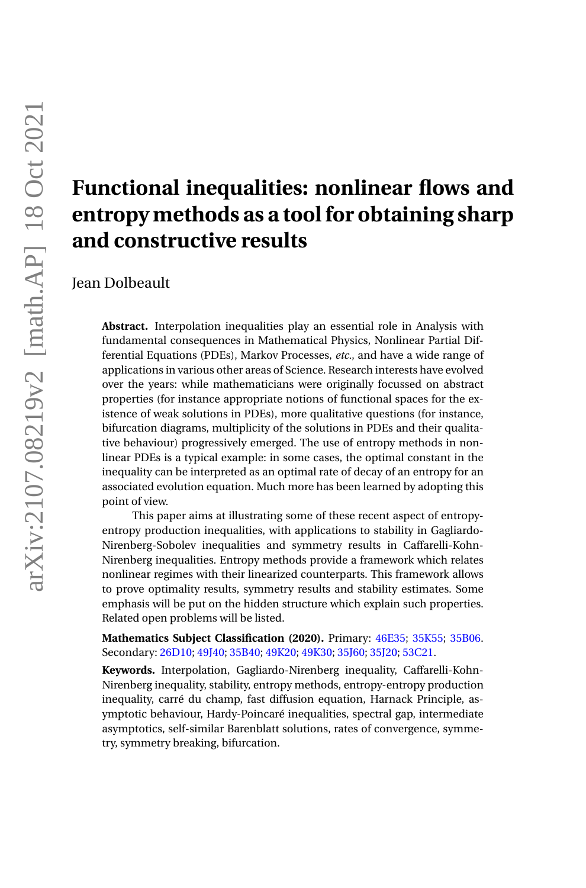# **Functional inequalities: nonlinear flows and entropy methods as a tool for obtaining sharp and constructive results** Jean Dolbeault **Abstract.** Interpolation inequalities play an essential role in Analysis with

fundamental consequences in Mathematical Physics, Nonlinear Partial Differential Equations (PDEs), Markov Processes, *etc.*, and have a wide range of applications in various other areas of Science. Research interests have evolved over the years: while mathematicians were originally focussed on abstract properties (for instance appropriate notions of functional spaces for the existence of weak solutions in PDEs), more qualitative questions (for instance, bifurcation diagrams, multiplicity of the solutions in PDEs and their qualitative behaviour) progressively emerged. The use of entropy methods in nonlinear PDEs is a typical example: in some cases, the optimal constant in the inequality can be interpreted as an optimal rate of decay of an entropy for an associated evolution equation. Much more has been learned by adopting this point of view.

This paper aims at illustrating some of these recent aspect of entropyentropy production inequalities, with applications to stability in Gagliardo-Nirenberg-Sobolev inequalities and symmetry results in Caffarelli-Kohn-Nirenberg inequalities. Entropy methods provide a framework which relates nonlinear regimes with their linearized counterparts. This framework allows to prove optimality results, symmetry results and stability estimates. Some emphasis will be put on the hidden structure which explain such properties. Related open problems will be listed.

**Mathematics Subject Classification (2020).** Primary: [46E35;](https://mathscinet.ams.org/mathscinet/search/mscbrowse.html?sk=default&sk=46E35&submit=Chercher) [35K55;](https://mathscinet.ams.org/mathscinet/search/mscbrowse.html?sk=default&sk=35K55&submit=Chercher) [35B06.](https://mathscinet.ams.org/mathscinet/search/mscbrowse.html?sk=default&sk=35B06&submit=Chercher) Secondary: [26D10;](https://mathscinet.ams.org/mathscinet/search/mscbrowse.html?sk=default&sk=26D10&submit=Chercher) [49J40;](https://mathscinet.ams.org/mathscinet/search/mscbrowse.html?sk=default&sk=49J40&submit=Chercher) [35B40;](https://mathscinet.ams.org/mathscinet/search/mscbrowse.html?sk=default&sk=35B40&submit=Chercher) [49K20;](https://mathscinet.ams.org/mathscinet/search/mscbrowse.html?sk=default&sk=49K20&submit=Chercher) [49K30;](https://mathscinet.ams.org/mathscinet/search/mscbrowse.html?sk=default&sk=49K30&submit=Chercher) [35J60;](https://mathscinet.ams.org/mathscinet/search/mscbrowse.html?sk=default&sk=35J60&submit=Chercher) [35J20;](https://mathscinet.ams.org/mathscinet/search/mscbrowse.html?sk=default&sk=35J20&submit=Chercher) [53C21.](https://mathscinet.ams.org/mathscinet/search/mscbrowse.html?sk=default&sk=53C21&submit=Chercher)

**Keywords.** Interpolation, Gagliardo-Nirenberg inequality, Caffarelli-Kohn-Nirenberg inequality, stability, entropy methods, entropy-entropy production inequality, carré du champ, fast diffusion equation, Harnack Principle, asymptotic behaviour, Hardy-Poincaré inequalities, spectral gap, intermediate asymptotics, self-similar Barenblatt solutions, rates of convergence, symmetry, symmetry breaking, bifurcation.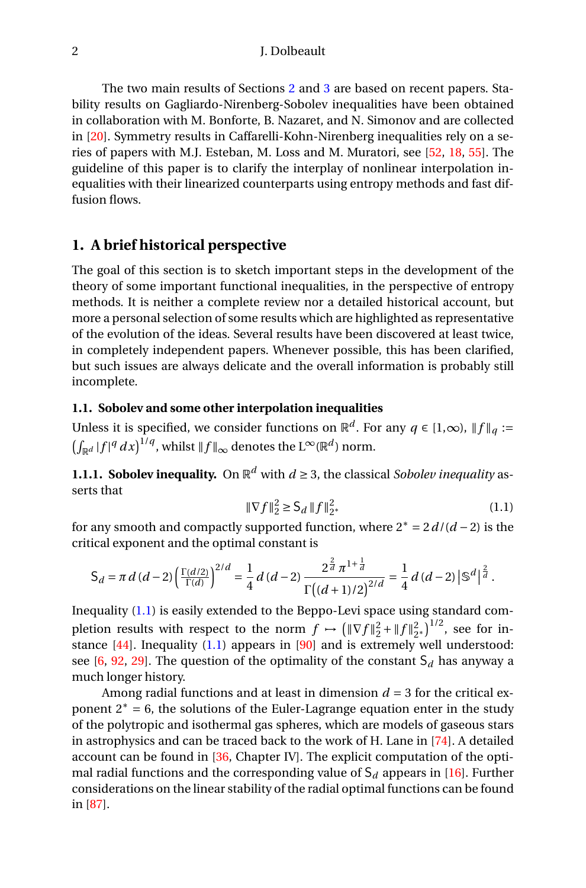The two main results of Sections [2](#page-14-0) and [3](#page-20-0) are based on recent papers. Stability results on Gagliardo-Nirenberg-Sobolev inequalities have been obtained in collaboration with M. Bonforte, B. Nazaret, and N. Simonov and are collected in [\[20\]](#page-27-0). Symmetry results in Caffarelli-Kohn-Nirenberg inequalities rely on a series of papers with M.J. Esteban, M. Loss and M. Muratori, see [\[52,](#page-28-0) [18,](#page-27-1) [55\]](#page-29-0). The guideline of this paper is to clarify the interplay of nonlinear interpolation inequalities with their linearized counterparts using entropy methods and fast diffusion flows.

## **1. A brief historical perspective**

The goal of this section is to sketch important steps in the development of the theory of some important functional inequalities, in the perspective of entropy methods. It is neither a complete review nor a detailed historical account, but more a personal selection of some results which are highlighted as representative of the evolution of the ideas. Several results have been discovered at least twice, in completely independent papers. Whenever possible, this has been clarified, but such issues are always delicate and the overall information is probably still incomplete.

## **1.1. Sobolev and some other interpolation inequalities**

Unless it is specified, we consider functions on  $\mathbb{R}^d$ . For any  $q \in [1,\infty)$ ,  $\|f\|_q :=$  $\left(\int_{\mathbb{R}^d} |f|^q \, dx\right)^{1/q}$ , whilst  $\|f\|_{\infty}$  denotes the L∞( $\mathbb{R}^d$ ) norm.

**1.1.1. Sobolev inequality.** On  $\mathbb{R}^d$  with  $d \geq 3$ , the classical *Sobolev inequality* asserts that

<span id="page-1-0"></span>
$$
\|\nabla f\|_{2}^{2} \ge S_{d} \|f\|_{2^{*}}^{2}
$$
 (1.1)

for any smooth and compactly supported function, where 2<sup>∗</sup> = 2*d*/(*d* − 2) is the critical exponent and the optimal constant is

$$
S_d = \pi d (d-2) \left( \frac{\Gamma(d/2)}{\Gamma(d)} \right)^{2/d} = \frac{1}{4} d (d-2) \frac{2^{\frac{2}{d}} \pi^{1+\frac{1}{d}}}{\Gamma((d+1)/2)^{2/d}} = \frac{1}{4} d (d-2) \left| \mathbb{S}^d \right|^{\frac{2}{d}}.
$$

Inequality [\(1.1\)](#page-1-0) is easily extended to the Beppo-Levi space using standard completion results with respect to the norm  $f \mapsto (\|\nabla f\|_2^2 + \|f\|_{2^*}^2)^{1/2}$ , see for instance  $[44]$ . Inequality  $(1.1)$  appears in  $[90]$  and is extremely well understood: see  $[6, 92, 29]$  $[6, 92, 29]$  $[6, 92, 29]$  $[6, 92, 29]$  $[6, 92, 29]$ . The question of the optimality of the constant  $S_d$  has anyway a much longer history.

Among radial functions and at least in dimension  $d = 3$  for the critical exponent  $2^* = 6$ , the solutions of the Euler-Lagrange equation enter in the study of the polytropic and isothermal gas spheres, which are models of gaseous stars in astrophysics and can be traced back to the work of H. Lane in [\[74\]](#page-29-1). A detailed account can be found in [\[36,](#page-27-3) Chapter IV]. The explicit computation of the optimal radial functions and the corresponding value of  $S_d$  appears in [\[16\]](#page-26-1). Further considerations on the linear stability of the radial optimal functions can be found in [\[87\]](#page-30-2).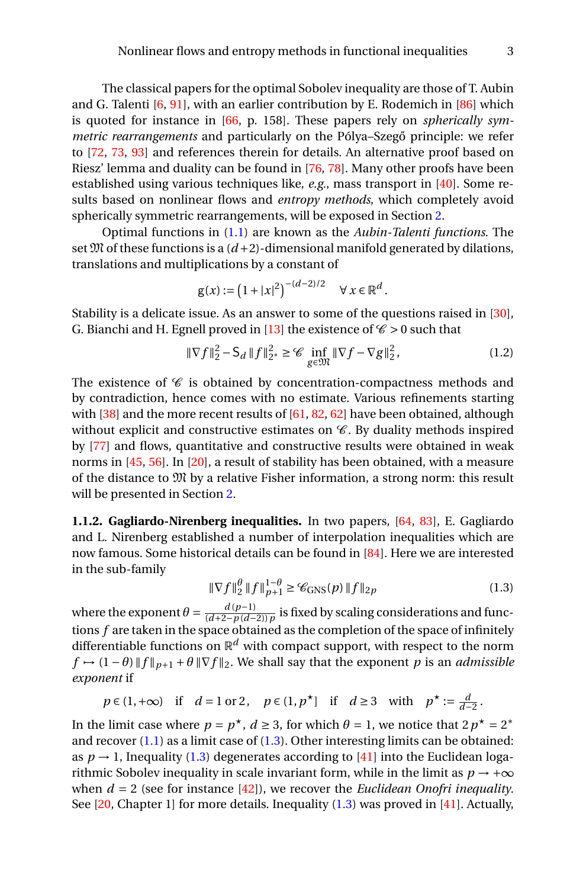The classical papers for the optimal Sobolev inequality are those of T. Aubin and G. Talenti  $[6, 91]$  $[6, 91]$  $[6, 91]$ , with an earlier contribution by E. Rodemich in  $[86]$  which is quoted for instance in [\[66,](#page-29-2) p. 158]. These papers rely on *spherically symmetric rearrangements* and particularly on the Pólya-Szegő principle: we refer to [\[72,](#page-29-3) [73,](#page-29-4) [93\]](#page-30-5) and references therein for details. An alternative proof based on Riesz' lemma and duality can be found in [\[76,](#page-30-6) [78\]](#page-30-7). Many other proofs have been established using various techniques like, *e.g.*, mass transport in [\[40\]](#page-28-2). Some results based on nonlinear flows and *entropy methods*, which completely avoid spherically symmetric rearrangements, will be exposed in Section [2.](#page-14-0)

Optimal functions in [\(1.1\)](#page-1-0) are known as the *Aubin-Talenti functions*. The set  $M$  of these functions is a  $(d+2)$ -dimensional manifold generated by dilations, translations and multiplications by a constant of

$$
g(x) := (1 + |x|^2)^{-(d-2)/2} \quad \forall x \in \mathbb{R}^d.
$$

Stability is a delicate issue. As an answer to some of the questions raised in [\[30\]](#page-27-4), G. Bianchi and H. Egnell proved in [\[13\]](#page-26-2) the existence of  $\mathcal{C} > 0$  such that

<span id="page-2-1"></span>
$$
\|\nabla f\|_{2}^{2} - \mathsf{S}_{d} \|f\|_{2^{*}}^{2} \ge \mathscr{C} \inf_{g \in \mathfrak{M}} \|\nabla f - \nabla g\|_{2}^{2},\tag{1.2}
$$

The existence of  $\mathscr C$  is obtained by concentration-compactness methods and by contradiction, hence comes with no estimate. Various refinements starting with  $[38]$  and the more recent results of  $[61, 82, 62]$  $[61, 82, 62]$  $[61, 82, 62]$  $[61, 82, 62]$  $[61, 82, 62]$  have been obtained, although without explicit and constructive estimates on  $\mathscr C$ . By duality methods inspired by [\[77\]](#page-30-9) and flows, quantitative and constructive results were obtained in weak norms in [\[45,](#page-28-4) [56\]](#page-29-7). In [\[20\]](#page-27-0), a result of stability has been obtained, with a measure of the distance to  $\mathfrak{M}$  by a relative Fisher information, a strong norm: this result will be presented in Section [2.](#page-14-0)

**1.1.2. Gagliardo-Nirenberg inequalities.** In two papers, [\[64,](#page-29-8) [83\]](#page-30-10), E. Gagliardo and L. Nirenberg established a number of interpolation inequalities which are now famous. Some historical details can be found in [\[84\]](#page-30-11). Here we are interested in the sub-family

<span id="page-2-0"></span>
$$
\|\nabla f\|_{2}^{\theta} \|f\|_{p+1}^{1-\theta} \ge \mathcal{C}_{\text{GNS}}(p) \|f\|_{2p} \tag{1.3}
$$

where the exponent  $\theta = \frac{d(p-1)}{(d+2-n)d-1}$ (*d*+2−*p* (*d*−2))*p* is fixed by scaling considerations and functions *f* are taken in the space obtained as the completion of the space of infinitely differentiable functions on  $\mathbb{R}^d$  with compact support, with respect to the norm  $f \mapsto (1 - \theta) \|f\|_{p+1} + \theta \|\nabla f\|_2$ . We shall say that the exponent *p* is an *admissible exponent* if

$$
p \in (1, +\infty)
$$
 if  $d = 1$  or 2,  $p \in (1, p^*)$  if  $d \ge 3$  with  $p^* := \frac{d}{d-2}$ .

In the limit case where  $p = p^*$ ,  $d \ge 3$ , for which  $\theta = 1$ , we notice that  $2p^* = 2^*$ and recover  $(1.1)$  as a limit case of  $(1.3)$ . Other interesting limits can be obtained: as  $p \rightarrow 1$ , Inequality [\(1.3\)](#page-2-0) degenerates according to [\[41\]](#page-28-5) into the Euclidean logarithmic Sobolev inequality in scale invariant form, while in the limit as  $p \rightarrow +\infty$ when  $d = 2$  (see for instance [\[42\]](#page-28-6)), we recover the *Euclidean Onofri inequality*. See  $[20,$  Chapter 1] for more details. Inequality  $(1.3)$  was proved in  $[41]$ . Actually,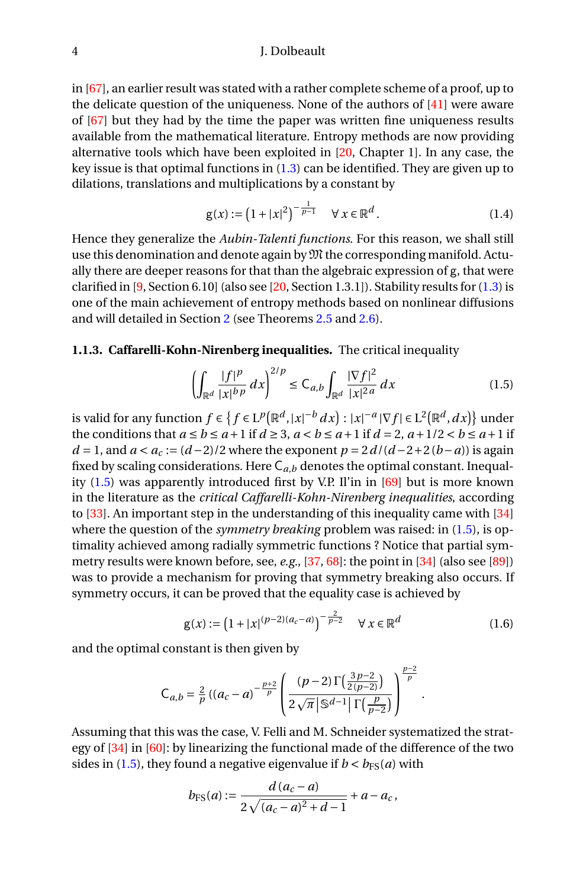in [\[67\]](#page-29-9), an earlier result was stated with a rather complete scheme of a proof, up to the delicate question of the uniqueness. None of the authors of [\[41\]](#page-28-5) were aware of [\[67\]](#page-29-9) but they had by the time the paper was written fine uniqueness results available from the mathematical literature. Entropy methods are now providing alternative tools which have been exploited in [\[20,](#page-27-0) Chapter 1]. In any case, the key issue is that optimal functions in [\(1.3\)](#page-2-0) can be identified. They are given up to dilations, translations and multiplications by a constant by

$$
g(x) := (1 + |x|^2)^{-\frac{1}{p-1}} \quad \forall \ x \in \mathbb{R}^d.
$$
 (1.4)

Hence they generalize the *Aubin-Talenti functions*. For this reason, we shall still use this denomination and denote again by  $\mathfrak{M}$  the corresponding manifold. Actually there are deeper reasons for that than the algebraic expression of g, that were clarified in  $[9, Section 6.10]$  $[9, Section 6.10]$  (also see  $[20, Section 1.3.1]$  $[20, Section 1.3.1]$ ). Stability results for  $(1.3)$  is one of the main achievement of entropy methods based on nonlinear diffusions and will detailed in Section [2](#page-14-0) (see Theorems [2.5](#page-19-0) and [2.6\)](#page-19-1).

## **1.1.3. Caffarelli-Kohn-Nirenberg inequalities.** The critical inequality

<span id="page-3-0"></span>
$$
\left(\int_{\mathbb{R}^d} \frac{|f|^p}{|x|^{bp}} dx\right)^{2/p} \leq C_{a,b} \int_{\mathbb{R}^d} \frac{|\nabla f|^2}{|x|^{2a}} dx \tag{1.5}
$$

is valid for any function  $f \in \{f \in \mathrm{L}^p\big(\mathbb{R}^d,|x|^{-b}\,dx\big): |x|^{-a}\,|\nabla f| \in \mathrm{L}^2\big(\mathbb{R}^d,dx\big)\}$  under the conditions that  $a \le b \le a+1$  if  $d \ge 3$ ,  $a < b \le a+1$  if  $d = 2$ ,  $a+1/2 < b \le a+1$  if  $d = 1$ , and  $a < a_c := (d-2)/2$  where the exponent  $p = 2d/(d-2+2(b-a))$  is again fixed by scaling considerations. Here  $C_{a,b}$  denotes the optimal constant. Inequality [\(1.5\)](#page-3-0) was apparently introduced first by V.P. Il'in in [\[69\]](#page-29-10) but is more known in the literature as the *critical Caffarelli-Kohn-Nirenberg inequalities*, according to [\[33\]](#page-27-5). An important step in the understanding of this inequality came with [\[34\]](#page-27-6) where the question of the *symmetry breaking* problem was raised: in [\(1.5\)](#page-3-0), is optimality achieved among radially symmetric functions ? Notice that partial symmetry results were known before, see, *e.g.*, [\[37,](#page-28-7) [68\]](#page-29-11): the point in [\[34\]](#page-27-6) (also see [\[89\]](#page-30-12)) was to provide a mechanism for proving that symmetry breaking also occurs. If symmetry occurs, it can be proved that the equality case is achieved by

<span id="page-3-1"></span>
$$
g(x) := (1 + |x|^{(p-2)(a_c - a)})^{-\frac{2}{p-2}} \quad \forall \, x \in \mathbb{R}^d
$$
 (1.6)

.

and the optimal constant is then given by

$$
C_{a,b} = \frac{2}{p} ((a_c - a)^{-\frac{p+2}{p}} \left( \frac{(p-2) \Gamma(\frac{3p-2}{2(p-2)})}{2\sqrt{\pi} |\mathbb{S}^{d-1}| \Gamma(\frac{p}{p-2})} \right)^{\frac{p-2}{p}}
$$

Assuming that this was the case, V. Felli and M. Schneider systematized the strategy of [\[34\]](#page-27-6) in [\[60\]](#page-29-12): by linearizing the functional made of the difference of the two sides in [\(1.5\)](#page-3-0), they found a negative eigenvalue if  $b < b_{FS}(a)$  with

$$
b_{\text{FS}}(a) := \frac{d(a_c - a)}{2\sqrt{(a_c - a)^2 + d - 1}} + a - a_c,
$$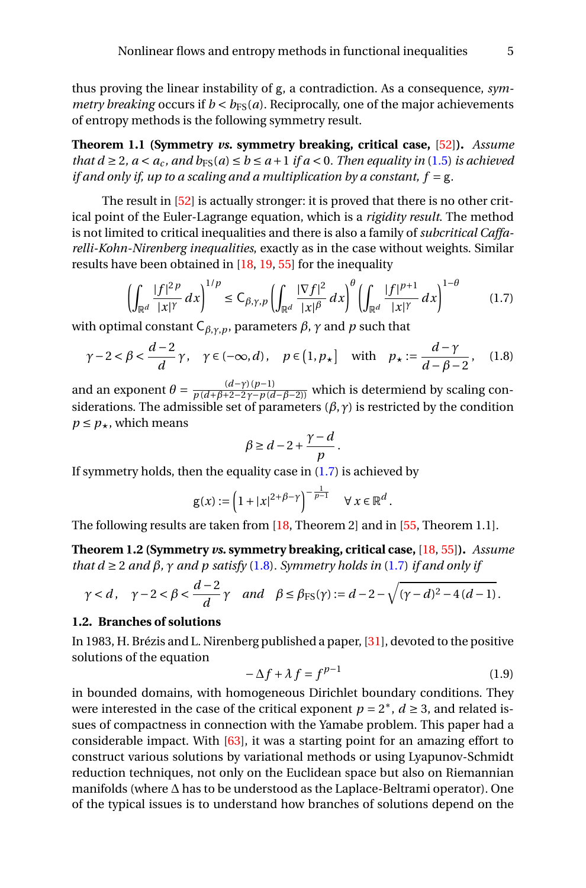thus proving the linear instability of g, a contradiction. As a consequence, *symmetry breaking* occurs if  $b < b_{FS}(a)$ . Reciprocally, one of the major achievements of entropy methods is the following symmetry result.

<span id="page-4-4"></span>**Theorem 1.1 (Symmetry** *vs.* **symmetry breaking, critical case,** [\[52\]](#page-28-0)**).** *Assume that*  $d \geq 2$ *,*  $a < a_c$ *, and*  $b_{FS}(a) \leq b \leq a+1$  *<i>if a* < 0*. Then equality in* [\(1.5\)](#page-3-0) *is achieved if and only if, up to a scaling and a multiplication by a constant,*  $f = g$ *.* 

The result in [\[52\]](#page-28-0) is actually stronger: it is proved that there is no other critical point of the Euler-Lagrange equation, which is a *rigidity result*. The method is not limited to critical inequalities and there is also a family of *subcritical Caffarelli-Kohn-Nirenberg inequalities*, exactly as in the case without weights. Similar results have been obtained in [\[18,](#page-27-1) [19,](#page-27-7) [55\]](#page-29-0) for the inequality

<span id="page-4-0"></span>
$$
\left(\int_{\mathbb{R}^d} \frac{|f|^{2p}}{|x|^{\gamma}} dx\right)^{1/p} \le C_{\beta,\gamma,p} \left(\int_{\mathbb{R}^d} \frac{|\nabla f|^2}{|x|^{\beta}} dx\right)^{\theta} \left(\int_{\mathbb{R}^d} \frac{|f|^{p+1}}{|x|^{\gamma}} dx\right)^{1-\theta} \tag{1.7}
$$

with optimal constant  $C_{β,γ,ρ}$ , parameters  $β$ ,  $γ$  and  $p$  such that

<span id="page-4-1"></span>
$$
\gamma - 2 < \beta < \frac{d-2}{d}\gamma
$$
,  $\gamma \in (-\infty, d)$ ,  $p \in (1, p_\star]$  with  $p_\star := \frac{d-\gamma}{d-\beta-2}$ , (1.8)

and an exponent  $\theta = \frac{(d-\gamma)(p-1)}{p(d+\beta+2-2\gamma-p(d-\beta-2))}$  which is determiend by scaling considerations. The admissible set of parameters (*β*,*γ*) is restricted by the condition  $p \leq p_{\star}$ , which means

$$
\beta \ge d - 2 + \frac{\gamma - d}{p}.
$$

If symmetry holds, then the equality case in  $(1.7)$  is achieved by

$$
g(x) := \left(1 + |x|^{2+\beta-\gamma}\right)^{-\frac{1}{p-1}} \quad \forall \ x \in \mathbb{R}^d.
$$

The following results are taken from [\[18,](#page-27-1) Theorem 2] and in [\[55,](#page-29-0) Theorem 1.1].

**Theorem 1.2 (Symmetry** *vs.* **symmetry breaking, critical case,** [\[18,](#page-27-1) [55\]](#page-29-0)**).** *Assume that d*  $\geq$  2 *and*  $\beta$ *,*  $\gamma$  *and*  $p$  *satisfy* [\(1.8\)](#page-4-1)*. Symmetry holds in* [\(1.7\)](#page-4-0) *if and only if* 

$$
\gamma < d
$$
,  $\gamma - 2 < \beta < \frac{d-2}{d}\gamma$  and  $\beta \le \beta_{FS}(\gamma) := d - 2 - \sqrt{(\gamma - d)^2 - 4(d-1)}$ .

## <span id="page-4-3"></span>**1.2. Branches of solutions**

In 1983, H. Brézis and L. Nirenberg published a paper, [\[31\]](#page-27-8), devoted to the positive solutions of the equation

<span id="page-4-2"></span>
$$
-\Delta f + \lambda f = f^{p-1} \tag{1.9}
$$

in bounded domains, with homogeneous Dirichlet boundary conditions. They were interested in the case of the critical exponent  $p = 2^*$ ,  $d \ge 3$ , and related issues of compactness in connection with the Yamabe problem. This paper had a considerable impact. With [\[63\]](#page-29-13), it was a starting point for an amazing effort to construct various solutions by variational methods or using Lyapunov-Schmidt reduction techniques, not only on the Euclidean space but also on Riemannian manifolds (where ∆ has to be understood as the Laplace-Beltrami operator). One of the typical issues is to understand how branches of solutions depend on the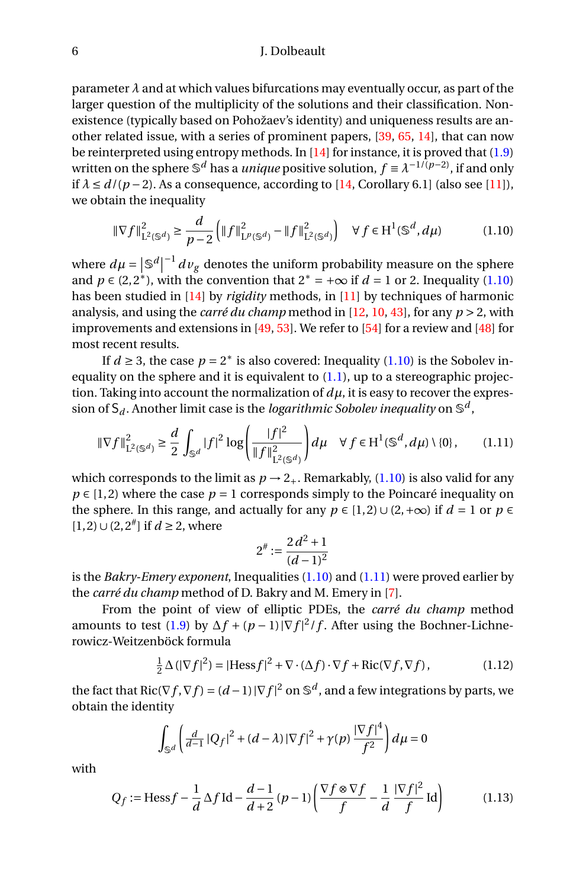parameter  $\lambda$  and at which values bifurcations may eventually occur, as part of the larger question of the multiplicity of the solutions and their classification. Nonexistence (typically based on Pohožaev's identity) and uniqueness results are another related issue, with a series of prominent papers, [\[39,](#page-28-8) [65,](#page-29-14) [14\]](#page-26-4), that can now be reinterpreted using entropy methods. In [\[14\]](#page-26-4) for instance, it is proved that [\(1.9\)](#page-4-2) written on the sphere  $\mathbb{S}^d$  has a *unique* positive solution,  $f \equiv \lambda^{-1/(p-2)}$ , if and only if  $\lambda \le d/(p-2)$ . As a consequence, according to [\[14,](#page-26-4) Corollary 6.1] (also see [\[11\]](#page-26-5)), we obtain the inequality

<span id="page-5-0"></span>
$$
\|\nabla f\|_{\mathcal{L}^2(\mathbb{S}^d)}^2 \ge \frac{d}{p-2} \left( \|f\|_{\mathcal{L}^p(\mathbb{S}^d)}^2 - \|f\|_{\mathcal{L}^2(\mathbb{S}^d)}^2 \right) \quad \forall \ f \in \mathcal{H}^1(\mathbb{S}^d, d\mu) \tag{1.10}
$$

where  $d\mu = |\mathbb{S}^d|$  $^{-1}$   $dv_g$  denotes the uniform probability measure on the sphere and  $p \in (2, 2^*)$ , with the convention that  $2^* = +\infty$  if  $d = 1$  or 2. Inequality [\(1.10\)](#page-5-0) has been studied in [\[14\]](#page-26-4) by *rigidity* methods, in [\[11\]](#page-26-5) by techniques of harmonic analysis, and using the *carré du champ* method in [\[12,](#page-26-6) [10,](#page-26-7) [43\]](#page-28-9), for any *p* > 2, with improvements and extensions in [\[49,](#page-28-10) [53\]](#page-28-11). We refer to [\[54\]](#page-28-12) for a review and [\[48\]](#page-28-13) for most recent results.

If  $d \geq 3$ , the case  $p = 2^*$  is also covered: Inequality [\(1.10\)](#page-5-0) is the Sobolev inequality on the sphere and it is equivalent to  $(1.1)$ , up to a stereographic projection. Taking into account the normalization of  $d\mu$ , it is easy to recover the expression of  $\mathsf{S}_d$ . Another limit case is the *logarithmic Sobolev inequality* on  $\mathbb{S}^d$ ,

<span id="page-5-1"></span>
$$
\|\nabla f\|_{\mathcal{L}^2(\mathbb{S}^d)}^2 \ge \frac{d}{2} \int_{\mathbb{S}^d} |f|^2 \log \left(\frac{|f|^2}{\|f\|_{\mathcal{L}^2(\mathbb{S}^d)}^2}\right) d\mu \quad \forall f \in \mathcal{H}^1(\mathbb{S}^d, d\mu) \setminus \{0\},\tag{1.11}
$$

which corresponds to the limit as  $p \rightarrow 2_+$ . Remarkably, [\(1.10\)](#page-5-0) is also valid for any  $p \in [1, 2]$  where the case  $p = 1$  corresponds simply to the Poincaré inequality on the sphere. In this range, and actually for any  $p \in [1,2] \cup (2,+\infty)$  if  $d = 1$  or  $p \in$ [1, 2)∪(2, 2# ] if *d* ≥ 2, where

$$
2^{\#} := \frac{2\,d^2 + 1}{(d-1)^2}
$$

is the *Bakry-Emery exponent*, Inequalities [\(1.10\)](#page-5-0) and [\(1.11\)](#page-5-1) were proved earlier by the *carré du champ* method of D. Bakry and M. Emery in [\[7\]](#page-26-8).

From the point of view of elliptic PDEs, the *carré du champ* method amounts to test [\(1.9\)](#page-4-2) by  $\Delta f + (p-1) |\nabla f|^2 / f$ . After using the Bochner-Lichnerowicz-Weitzenböck formula

<span id="page-5-2"></span>
$$
\frac{1}{2}\,\Delta\left(|\nabla f|^2\right) = |\text{Hess} f|^2 + \nabla\cdot(\Delta f)\cdot\nabla f + \text{Ric}(\nabla f, \nabla f),\tag{1.12}
$$

the fact that  $\text{Ric}(\nabla f, \nabla f) = (d-1)|\nabla f|^2$  on  $\mathbb{S}^d$ , and a few integrations by parts, we obtain the identity

$$
\int_{\mathbb{S}^d} \left( \frac{d}{d-1} |Q_f|^2 + (d-\lambda) |\nabla f|^2 + \gamma(p) \frac{|\nabla f|^4}{f^2} \right) d\mu = 0
$$

with

<span id="page-5-3"></span>
$$
Q_f := \text{Hess} f - \frac{1}{d} \Delta f \, \text{Id} - \frac{d-1}{d+2} (p-1) \left( \frac{\nabla f \otimes \nabla f}{f} - \frac{1}{d} \frac{|\nabla f|^2}{f} \, \text{Id} \right) \tag{1.13}
$$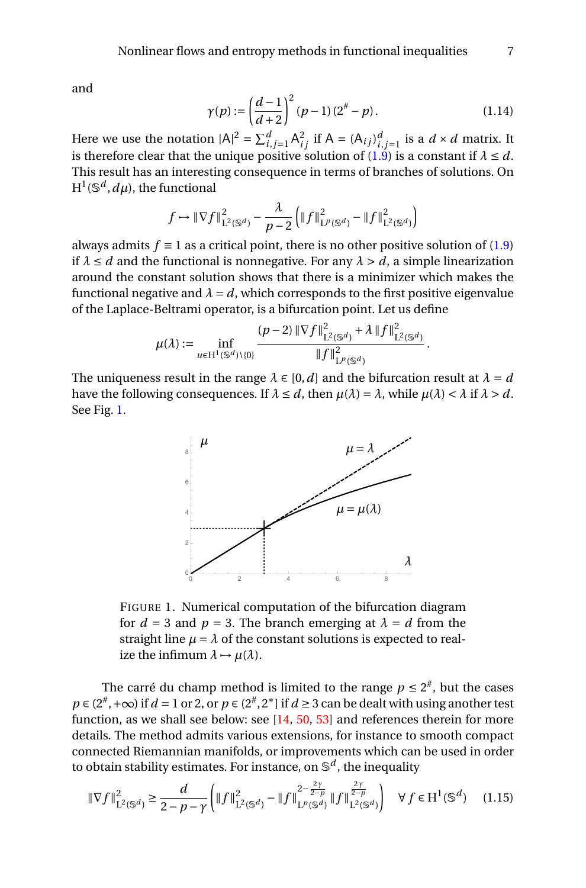and

<span id="page-6-1"></span>
$$
\gamma(p) := \left(\frac{d-1}{d+2}\right)^2 (p-1)(2^{\#} - p). \tag{1.14}
$$

Here we use the notation  $|A|^2 = \sum_{i,j=1}^d A_{ij}^2$  if  $A = (A_{ij})_{i,j=1}^d$  is a  $d \times d$  matrix. It is therefore clear that the unique positive solution of  $(1.9)$  is a constant if  $\lambda \leq d$ . This result has an interesting consequence in terms of branches of solutions. On  $\mathrm{H}^1(\mathbb{S}^d,d\mu)$ , the functional

$$
f \mapsto \|\nabla f\|_{\mathcal{L}^2(\mathbb{S}^d)}^2 - \frac{\lambda}{p-2} \left( \|f\|_{\mathcal{L}^p(\mathbb{S}^d)}^2 - \|f\|_{\mathcal{L}^2(\mathbb{S}^d)}^2 \right)
$$

always admits  $f \equiv 1$  as a critical point, there is no other positive solution of [\(1.9\)](#page-4-2) if  $\lambda \leq d$  and the functional is nonnegative. For any  $\lambda > d$ , a simple linearization around the constant solution shows that there is a minimizer which makes the functional negative and  $\lambda = d$ , which corresponds to the first positive eigenvalue of the Laplace-Beltrami operator, is a bifurcation point. Let us define

$$
\mu(\lambda) := \inf_{u \in H^1(\mathbb{S}^d) \setminus \{0\}} \frac{(p-2) \|\nabla f\|_{\mathbf{L}^2(\mathbb{S}^d)}^2 + \lambda \|f\|_{\mathbf{L}^2(\mathbb{S}^d)}^2}{\|f\|_{\mathbf{L}^p(\mathbb{S}^d)}^2}.
$$

The uniqueness result in the range  $\lambda \in [0, d]$  and the bifurcation result at  $\lambda = d$ have the following consequences. If  $\lambda \leq d$ , then  $\mu(\lambda) = \lambda$ , while  $\mu(\lambda) < \lambda$  if  $\lambda > d$ . See Fig. [1.](#page-6-0)



<span id="page-6-0"></span>FIGURE 1. Numerical computation of the bifurcation diagram for  $d = 3$  and  $p = 3$ . The branch emerging at  $\lambda = d$  from the straight line  $\mu = \lambda$  of the constant solutions is expected to realize the infimum  $\lambda \mapsto \mu(\lambda)$ .

The carré du champ method is limited to the range  $p \leq 2^{\#}$ , but the cases  $p \in (2^{\#}, +\infty)$  if  $d = 1$  or 2, or  $p \in (2^{\#}, 2^{\ast})$  if  $d \ge 3$  can be dealt with using another test function, as we shall see below: see [\[14,](#page-26-4) [50,](#page-28-14) [53\]](#page-28-11) and references therein for more details. The method admits various extensions, for instance to smooth compact connected Riemannian manifolds, or improvements which can be used in order to obtain stability estimates. For instance, on S *d* , the inequality

<span id="page-6-2"></span>
$$
\|\nabla f\|_{\mathcal{L}^{2}(\mathbb{S}^{d})}^{2} \ge \frac{d}{2-p-\gamma} \left( \|f\|_{\mathcal{L}^{2}(\mathbb{S}^{d})}^{2} - \|f\|_{\mathcal{L}^{p}(\mathbb{S}^{d})}^{2-\frac{2\gamma}{2-p}} \|f\|_{\mathcal{L}^{2}(\mathbb{S}^{d})}^{\frac{2\gamma}{2-p}} \right) \quad \forall f \in \mathcal{H}^{1}(\mathbb{S}^{d}) \quad (1.15)
$$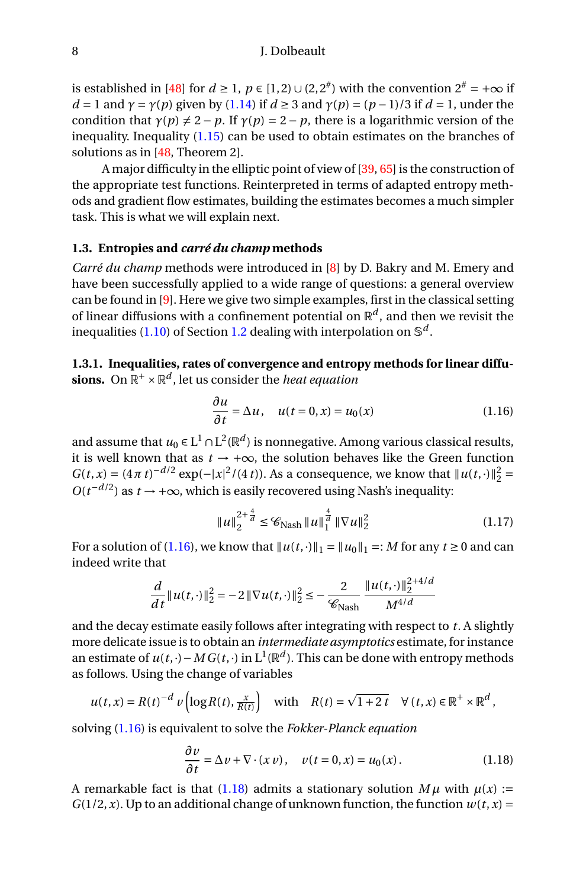is established in [\[48\]](#page-28-13) for  $d \ge 1$ ,  $p \in [1,2) \cup (2,2^{#})$  with the convention  $2^{#} = +\infty$  if *d* = 1 and  $\gamma$  = *γ*(*p*) given by [\(1.14\)](#page-6-1) if *d* ≥ 3 and  $\gamma$ (*p*) = (*p* − 1)/3 if *d* = 1, under the condition that  $\gamma(p) \neq 2 - p$ . If  $\gamma(p) = 2 - p$ , there is a logarithmic version of the inequality. Inequality [\(1.15\)](#page-6-2) can be used to obtain estimates on the branches of solutions as in [\[48,](#page-28-13) Theorem 2].

A major difficulty in the elliptic point of view of [\[39,](#page-28-8) [65\]](#page-29-14) is the construction of the appropriate test functions. Reinterpreted in terms of adapted entropy methods and gradient flow estimates, building the estimates becomes a much simpler task. This is what we will explain next.

#### **1.3. Entropies and** *carré du champ* **methods**

*Carré du champ* methods were introduced in [\[8\]](#page-26-9) by D. Bakry and M. Emery and have been successfully applied to a wide range of questions: a general overview can be found in [\[9\]](#page-26-3). Here we give two simple examples, first in the classical setting of linear diffusions with a confinement potential on  $\mathbb{R}^d$ , and then we revisit the inequalities [\(1.10\)](#page-5-0) of Section [1.2](#page-4-3) dealing with interpolation on S *d* .

# <span id="page-7-3"></span>**1.3.1. Inequalities, rates of convergence and entropy methods for linear diffu**sions. On  $\mathbb{R}^+ \times \mathbb{R}^d$ , let us consider the *heat equation*

<span id="page-7-0"></span>
$$
\frac{\partial u}{\partial t} = \Delta u, \quad u(t = 0, x) = u_0(x) \tag{1.16}
$$

and assume that  $u_0 \in L^1 \cap L^2(\mathbb{R}^d)$  is nonnegative. Among various classical results, it is well known that as  $t \rightarrow +\infty$ , the solution behaves like the Green function  $G(t, x) = (4\pi t)^{-d/2} \exp(-|x|^2/(4t))$ . As a consequence, we know that  $||u(t, \cdot)||_2^2 =$  $O(t^{-d/2})$  as  $t \to +\infty$ , which is easily recovered using Nash's inequality:

<span id="page-7-2"></span>
$$
||u||_2^{2+\frac{4}{d}} \leq \mathcal{C}_{\text{Nash}} ||u||_1^{\frac{4}{d}} ||\nabla u||_2^2
$$
 (1.17)

For a solution of [\(1.16\)](#page-7-0), we know that  $||u(t, \cdot)||_1 = ||u_0||_1 =: M$  for any  $t \ge 0$  and can indeed write that

$$
\frac{d}{dt}||u(t, \cdot)||_2^2 = -2||\nabla u(t, \cdot)||_2^2 \le -\frac{2}{\mathcal{C}_{\text{Nash}}} \frac{||u(t, \cdot)||_2^{2+4/d}}{M^{4/d}}
$$

and the decay estimate easily follows after integrating with respect to *t*. A slightly more delicate issue is to obtain an *intermediate asymptotics* estimate, for instance an estimate of  $u(t,\cdot)-MG(t,\cdot)$  in  $\mathrm{L}^1(\mathbb{R}^d).$  This can be done with entropy methods as follows. Using the change of variables

$$
u(t,x) = R(t)^{-d} v \left( \log R(t), \frac{x}{R(t)} \right) \quad \text{with} \quad R(t) = \sqrt{1+2t} \quad \forall (t,x) \in \mathbb{R}^+ \times \mathbb{R}^d,
$$

solving [\(1.16\)](#page-7-0) is equivalent to solve the *Fokker-Planck equation*

<span id="page-7-1"></span>
$$
\frac{\partial v}{\partial t} = \Delta v + \nabla \cdot (x v), \quad v(t = 0, x) = u_0(x).
$$
 (1.18)

A remarkable fact is that [\(1.18\)](#page-7-1) admits a stationary solution  $M\mu$  with  $\mu(x)$  :=  $G(1/2, x)$ . Up to an additional change of unknown function, the function  $w(t, x) =$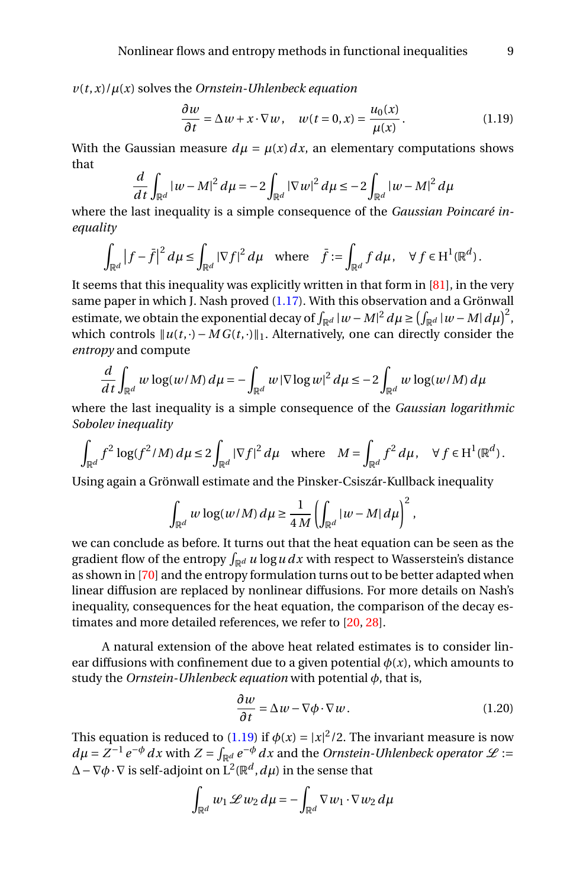$v(t, x)/\mu(x)$  solves the *Ornstein-Uhlenbeck equation* 

<span id="page-8-0"></span>
$$
\frac{\partial w}{\partial t} = \Delta w + x \cdot \nabla w, \quad w(t = 0, x) = \frac{u_0(x)}{\mu(x)}.
$$
 (1.19)

With the Gaussian measure  $d\mu = \mu(x) dx$ , an elementary computations shows that

$$
\frac{d}{dt}\int_{\mathbb{R}^d} |w - M|^2 \, d\mu = -2 \int_{\mathbb{R}^d} |\nabla w|^2 \, d\mu \leq -2 \int_{\mathbb{R}^d} |w - M|^2 \, d\mu
$$

where the last inequality is a simple consequence of the *Gaussian Poincaré inequality*

$$
\int_{\mathbb{R}^d} |f - \bar{f}|^2 d\mu \le \int_{\mathbb{R}^d} |\nabla f|^2 d\mu \quad \text{where} \quad \bar{f} := \int_{\mathbb{R}^d} f d\mu, \quad \forall f \in H^1(\mathbb{R}^d).
$$

It seems that this inequality was explicitly written in that form in  $[81]$ , in the very same paper in which J. Nash proved [\(1.17\)](#page-7-2). With this observation and a Grönwall estimate, we obtain the exponential decay of  $\int_{\mathbb{R}^d} |w - M|^2 d\mu \ge \left(\int_{\mathbb{R}^d} |w - M| d\mu\right)^2$ , which controls  $||u(t, \cdot) – MG(t, \cdot)||_1$ . Alternatively, one can directly consider the *entropy* and compute

$$
\frac{d}{dt}\int_{\mathbb{R}^d} w \log(w/M) d\mu = -\int_{\mathbb{R}^d} w |\nabla \log w|^2 d\mu \leq -2 \int_{\mathbb{R}^d} w \log(w/M) d\mu
$$

where the last inequality is a simple consequence of the *Gaussian logarithmic Sobolev inequality*

$$
\int_{\mathbb{R}^d} f^2 \log(f^2/M) \, d\mu \le 2 \int_{\mathbb{R}^d} |\nabla f|^2 \, d\mu \quad \text{where} \quad M = \int_{\mathbb{R}^d} f^2 \, d\mu, \quad \forall \, f \in H^1(\mathbb{R}^d).
$$

Using again a Grönwall estimate and the Pinsker-Csiszár-Kullback inequality

$$
\int_{\mathbb{R}^d} w \log(w/M) \, d\mu \ge \frac{1}{4M} \left( \int_{\mathbb{R}^d} |w - M| \, d\mu \right)^2,
$$

we can conclude as before. It turns out that the heat equation can be seen as the gradient flow of the entropy  $\int_{\mathbb{R}^d} u \log u \, dx$  with respect to Wasserstein's distance as shown in [\[70\]](#page-29-15) and the entropy formulation turns out to be better adapted when linear diffusion are replaced by nonlinear diffusions. For more details on Nash's inequality, consequences for the heat equation, the comparison of the decay estimates and more detailed references, we refer to [\[20,](#page-27-0) [28\]](#page-27-9).

A natural extension of the above heat related estimates is to consider linear diffusions with confinement due to a given potential  $\phi(x)$ , which amounts to study the *Ornstein-Uhlenbeck equation* with potential *φ*, that is,

<span id="page-8-1"></span>
$$
\frac{\partial w}{\partial t} = \Delta w - \nabla \phi \cdot \nabla w.
$$
 (1.20)

This equation is reduced to [\(1.19\)](#page-8-0) if  $\phi(x) = |x|^2/2$ . The invariant measure is now  $d\mu = Z^{-1} e^{-\phi} dx$  with  $Z = \int_{\mathbb{R}^d} e^{-\phi} dx$  and the *Ornstein-Uhlenbeck operator*  $\mathscr{L}$  :=  $\Delta-\nabla\phi\cdot\nabla$  is self-adjoint on  $\mathrm{L}^2(\mathbb{R}^d,d\mu)$  in the sense that

$$
\int_{\mathbb{R}^d} w_1 \mathcal{L} w_2 d\mu = -\int_{\mathbb{R}^d} \nabla w_1 \cdot \nabla w_2 d\mu
$$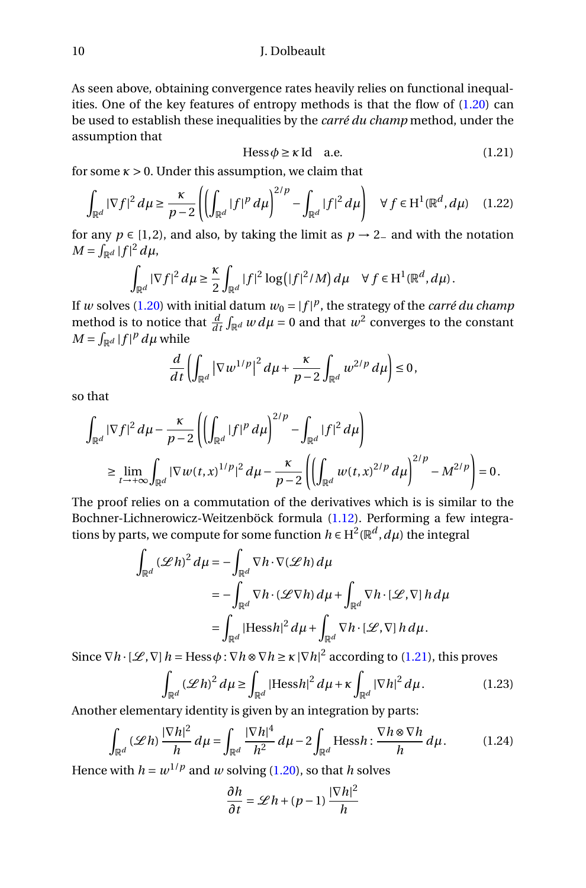As seen above, obtaining convergence rates heavily relies on functional inequalities. One of the key features of entropy methods is that the flow of [\(1.20\)](#page-8-1) can be used to establish these inequalities by the *carré du champ* method, under the assumption that

<span id="page-9-0"></span>
$$
Hess \phi \ge \kappa \text{ Id} \quad \text{a.e.} \tag{1.21}
$$

for some  $\kappa > 0$ . Under this assumption, we claim that

<span id="page-9-1"></span>
$$
\int_{\mathbb{R}^d} |\nabla f|^2 d\mu \ge \frac{\kappa}{p-2} \left( \left( \int_{\mathbb{R}^d} |f|^p d\mu \right)^{2/p} - \int_{\mathbb{R}^d} |f|^2 d\mu \right) \quad \forall f \in H^1(\mathbb{R}^d, d\mu) \quad (1.22)
$$

for any  $p \in [1, 2)$ , and also, by taking the limit as  $p \rightarrow 2$ <sub>−</sub> and with the notation  $M = \int_{\mathbb{R}^d} |f|^2 d\mu,$ 

$$
\int_{\mathbb{R}^d} |\nabla f|^2 d\mu \geq \frac{\kappa}{2} \int_{\mathbb{R}^d} |f|^2 \log(|f|^2/M) d\mu \quad \forall f \in H^1(\mathbb{R}^d, d\mu).
$$

If *w* solves [\(1.20\)](#page-8-1) with initial datum  $w_0 = |f|^p$ , the strategy of the *carré du champ* method is to notice that  $\frac{d}{dt} \int_{\mathbb{R}^d} w \, d\mu = 0$  and that  $w^2$  converges to the constant  $M = \int_{\mathbb{R}^d} |f|^p d\mu$  while

$$
\frac{d}{dt}\left(\int_{\mathbb{R}^d}|\nabla w^{1/p}|^2 d\mu+\frac{\kappa}{p-2}\int_{\mathbb{R}^d} w^{2/p} d\mu\right)\leq 0,
$$

so that

$$
\int_{\mathbb{R}^d} |\nabla f|^2 d\mu - \frac{\kappa}{p-2} \left( \left( \int_{\mathbb{R}^d} |f|^p d\mu \right)^{2/p} - \int_{\mathbb{R}^d} |f|^2 d\mu \right) \n\geq \lim_{t \to +\infty} \int_{\mathbb{R}^d} |\nabla w(t,x)|^p |^2 d\mu - \frac{\kappa}{p-2} \left( \left( \int_{\mathbb{R}^d} w(t,x)^{2/p} d\mu \right)^{2/p} - M^{2/p} \right) = 0.
$$

The proof relies on a commutation of the derivatives which is is similar to the Bochner-Lichnerowicz-Weitzenböck formula [\(1.12\)](#page-5-2). Performing a few integrations by parts, we compute for some function  $h \in \mathrm{H}^2(\mathbb{R}^d, d\mu)$  the integral

$$
\int_{\mathbb{R}^d} (\mathscr{L} h)^2 d\mu = -\int_{\mathbb{R}^d} \nabla h \cdot \nabla (\mathscr{L} h) d\mu
$$
  
= 
$$
-\int_{\mathbb{R}^d} \nabla h \cdot (\mathscr{L} \nabla h) d\mu + \int_{\mathbb{R}^d} \nabla h \cdot [\mathscr{L}, \nabla] h d\mu
$$
  
= 
$$
\int_{\mathbb{R}^d} |\text{Hess} h|^2 d\mu + \int_{\mathbb{R}^d} \nabla h \cdot [\mathscr{L}, \nabla] h d\mu.
$$

Since  $\nabla h \cdot [\mathcal{L}, \nabla] h = \text{Hess}\,\phi : \nabla h \otimes \nabla h \ge \kappa |\nabla h|^2$  according to [\(1.21\)](#page-9-0), this proves

$$
\int_{\mathbb{R}^d} (\mathscr{L} h)^2 d\mu \ge \int_{\mathbb{R}^d} |\text{Hess} h|^2 d\mu + \kappa \int_{\mathbb{R}^d} |\nabla h|^2 d\mu.
$$
 (1.23)

Another elementary identity is given by an integration by parts:

$$
\int_{\mathbb{R}^d} (\mathscr{L}h) \frac{|\nabla h|^2}{h} d\mu = \int_{\mathbb{R}^d} \frac{|\nabla h|^4}{h^2} d\mu - 2 \int_{\mathbb{R}^d} \text{Hess} h : \frac{\nabla h \otimes \nabla h}{h} d\mu.
$$
 (1.24)

Hence with  $h = w^{1/p}$  and *w* solving [\(1.20\)](#page-8-1), so that *h* solves

$$
\frac{\partial h}{\partial t} = \mathscr{L} h + (p-1) \frac{|\nabla h|^2}{h}
$$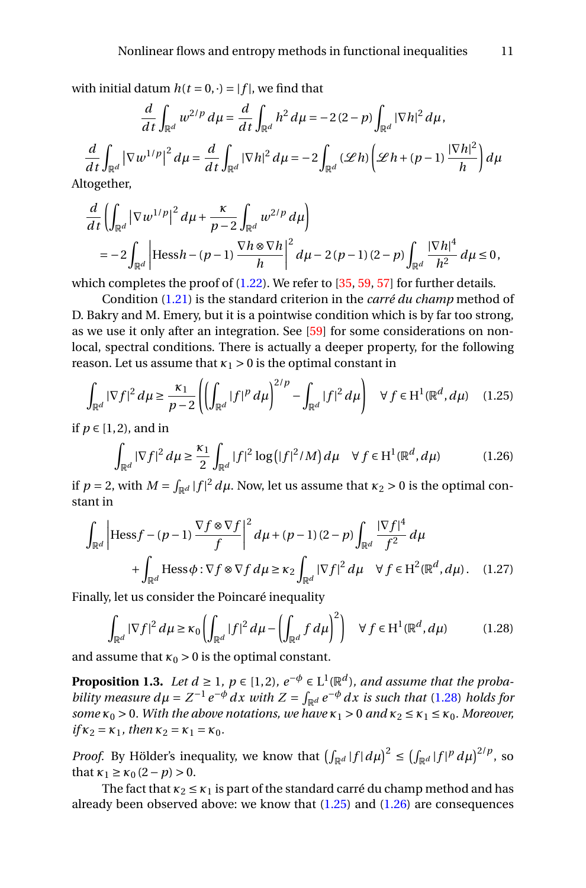with initial datum  $h(t = 0, \cdot) = |f|$ , we find that

$$
\frac{d}{dt}\int_{\mathbb{R}^d} w^{2/p} d\mu = \frac{d}{dt}\int_{\mathbb{R}^d} h^2 d\mu = -2(2-p)\int_{\mathbb{R}^d} |\nabla h|^2 d\mu,
$$
\n
$$
\frac{d}{dt}\int_{\mathbb{R}^d} |\nabla w^{1/p}|^2 d\mu = \frac{d}{dt}\int_{\mathbb{R}^d} |\nabla h|^2 d\mu = -2\int_{\mathbb{R}^d} (\mathcal{L}h) \left(\mathcal{L}h + (p-1)\frac{|\nabla h|^2}{h}\right) d\mu
$$
\ntogether,

Altogethe

$$
\frac{d}{dt} \left( \int_{\mathbb{R}^d} \left| \nabla w^{1/p} \right|^2 d\mu + \frac{\kappa}{p-2} \int_{\mathbb{R}^d} w^{2/p} d\mu \right)
$$
\n
$$
= -2 \int_{\mathbb{R}^d} \left| \text{Hess} h - (p-1) \frac{\nabla h \otimes \nabla h}{h} \right|^2 d\mu - 2(p-1)(2-p) \int_{\mathbb{R}^d} \frac{\left| \nabla h \right|^4}{h^2} d\mu \le 0,
$$

which completes the proof of  $(1.22)$ . We refer to [\[35,](#page-27-10) [59,](#page-29-16) [57\]](#page-29-17) for further details.

Condition [\(1.21\)](#page-9-0) is the standard criterion in the *carré du champ* method of D. Bakry and M. Emery, but it is a pointwise condition which is by far too strong, as we use it only after an integration. See [\[59\]](#page-29-16) for some considerations on nonlocal, spectral conditions. There is actually a deeper property, for the following reason. Let us assume that  $\kappa_1 > 0$  is the optimal constant in

<span id="page-10-1"></span>
$$
\int_{\mathbb{R}^d} |\nabla f|^2 d\mu \ge \frac{\kappa_1}{p-2} \left( \left( \int_{\mathbb{R}^d} |f|^p d\mu \right)^{2/p} - \int_{\mathbb{R}^d} |f|^2 d\mu \right) \quad \forall f \in H^1(\mathbb{R}^d, d\mu) \quad (1.25)
$$

if  $p \in [1, 2)$ , and in

<span id="page-10-2"></span>
$$
\int_{\mathbb{R}^d} |\nabla f|^2 d\mu \ge \frac{\kappa_1}{2} \int_{\mathbb{R}^d} |f|^2 \log(|f|^2/M) d\mu \quad \forall f \in H^1(\mathbb{R}^d, d\mu) \tag{1.26}
$$

if  $p = 2$ , with  $M = \int_{\mathbb{R}^d} |f|^2 d\mu$ . Now, let us assume that  $\kappa_2 > 0$  is the optimal constant in

$$
\int_{\mathbb{R}^d} \left| \text{Hess} f - (p-1) \frac{\nabla f \otimes \nabla f}{f} \right|^2 d\mu + (p-1)(2-p) \int_{\mathbb{R}^d} \frac{|\nabla f|^4}{f^2} d\mu
$$
  
+ 
$$
\int_{\mathbb{R}^d} \text{Hess} \phi : \nabla f \otimes \nabla f d\mu \ge \kappa_2 \int_{\mathbb{R}^d} |\nabla f|^2 d\mu \quad \forall f \in H^2(\mathbb{R}^d, d\mu). \quad (1.27)
$$

Finally, let us consider the Poincaré inequality

<span id="page-10-3"></span><span id="page-10-0"></span>
$$
\int_{\mathbb{R}^d} |\nabla f|^2 d\mu \ge \kappa_0 \left( \int_{\mathbb{R}^d} |f|^2 d\mu - \left( \int_{\mathbb{R}^d} f d\mu \right)^2 \right) \quad \forall f \in H^1(\mathbb{R}^d, d\mu) \tag{1.28}
$$

and assume that  $\kappa_0 > 0$  is the optimal constant.

<span id="page-10-4"></span>**Proposition 1.3.** *Let*  $d \geq 1$ *,*  $p \in \{1, 2\}$ *,*  $e^{-\phi} \in L^1(\mathbb{R}^d)$ *, and assume that the probability measure*  $d\mu = Z^{-1}e^{-\phi}dx$  *with*  $Z = \int_{\mathbb{R}^d} e^{-\phi}dx$  is such that [\(1.28\)](#page-10-0) holds for *some*  $\kappa_0 > 0$ *. With the above notations, we have*  $\kappa_1 > 0$  *and*  $\kappa_2 \leq \kappa_1 \leq \kappa_0$ *. Moreover,*  $if \kappa_2 = \kappa_1$ *, then*  $\kappa_2 = \kappa_1 = \kappa_0$ *.* 

*Proof.* By Hölder's inequality, we know that  $\left(\int_{\mathbb{R}^d} |f| d\mu\right)^2 \le \left(\int_{\mathbb{R}^d} |f|^p d\mu\right)^{2/p}$ , so that  $\kappa_1 \geq \kappa_0 (2 - p) > 0$ .

The fact that  $\kappa_2 \leq \kappa_1$  is part of the standard carré du champ method and has already been observed above: we know that  $(1.25)$  and  $(1.26)$  are consequences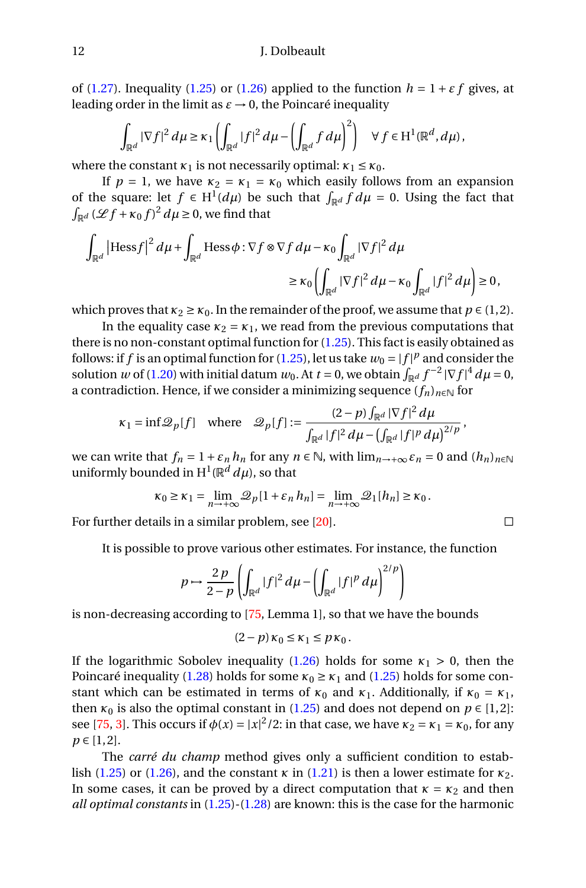of [\(1.27\)](#page-10-3). Inequality [\(1.25\)](#page-10-1) or [\(1.26\)](#page-10-2) applied to the function  $h = 1 + \varepsilon f$  gives, at leading order in the limit as  $\varepsilon \to 0$ , the Poincaré inequality

$$
\int_{\mathbb{R}^d} |\nabla f|^2 d\mu \geq \kappa_1 \left( \int_{\mathbb{R}^d} |f|^2 d\mu - \left( \int_{\mathbb{R}^d} f d\mu \right)^2 \right) \quad \forall f \in H^1(\mathbb{R}^d, d\mu),
$$

where the constant  $\kappa_1$  is not necessarily optimal:  $\kappa_1 \leq \kappa_0$ .

If  $p = 1$ , we have  $\kappa_2 = \kappa_1 = \kappa_0$  which easily follows from an expansion of the square: let  $f \in H^1(d\mu)$  be such that  $\int_{\mathbb{R}^d} f d\mu = 0$ . Using the fact that  $\int_{\mathbb{R}^d} (\mathscr{L} f + \kappa_0 f)^2 d\mu \geq 0$ , we find that

$$
\int_{\mathbb{R}^d} \left| \text{Hess} f \right|^2 d\mu + \int_{\mathbb{R}^d} \text{Hess} \phi : \nabla f \otimes \nabla f d\mu - \kappa_0 \int_{\mathbb{R}^d} |\nabla f|^2 d\mu
$$
\n
$$
\geq \kappa_0 \left( \int_{\mathbb{R}^d} |\nabla f|^2 d\mu - \kappa_0 \int_{\mathbb{R}^d} |f|^2 d\mu \right) \geq 0,
$$

which proves that  $\kappa_2 \ge \kappa_0$ . In the remainder of the proof, we assume that  $p \in (1, 2)$ .

In the equality case  $\kappa_2 = \kappa_1$ , we read from the previous computations that there is no non-constant optimal function for  $(1.25)$ . This fact is easily obtained as follows: if  $f$  is an optimal function for [\(1.25\)](#page-10-1), let us take  $w_0 = |f|^p$  and consider the solution *w* of [\(1.20\)](#page-8-1) with initial datum  $w_0$ . At  $t = 0$ , we obtain  $\int_{\mathbb{R}^d} f^{-2} |\nabla f|^4 d\mu = 0$ , a contradiction. Hence, if we consider a minimizing sequence  $(f_n)_{n\in\mathbb{N}}$  for

$$
\kappa_1 = \inf \mathscr{Q}_p[f] \quad \text{where} \quad \mathscr{Q}_p[f] := \frac{(2-p) \int_{\mathbb{R}^d} |\nabla f|^2 d\mu}{\int_{\mathbb{R}^d} |f|^2 d\mu - \left(\int_{\mathbb{R}^d} |f|^p d\mu\right)^{2/p}},
$$

we can write that  $f_n = 1 + \varepsilon_n h_n$  for any  $n \in \mathbb{N}$ , with  $\lim_{n \to +\infty} \varepsilon_n = 0$  and  $(h_n)_{n \in \mathbb{N}}$ uniformly bounded in  $\mathrm{H}^1(\mathbb{R}^d \, d\mu)$ , so that

$$
\kappa_0 \ge \kappa_1 = \lim_{n \to +\infty} \mathcal{Q}_p[1 + \varepsilon_n h_n] = \lim_{n \to +\infty} \mathcal{Q}_1[h_n] \ge \kappa_0.
$$

For further details in a similar problem, see [\[20\]](#page-27-0).

It is possible to prove various other estimates. For instance, the function

$$
p \mapsto \frac{2p}{2-p} \left( \int_{\mathbb{R}^d} |f|^2 \, d\mu - \left( \int_{\mathbb{R}^d} |f|^p \, d\mu \right)^{2/p} \right)
$$

is non-decreasing according to [\[75,](#page-30-14) Lemma 1], so that we have the bounds

$$
(2-p)\kappa_0 \leq \kappa_1 \leq p\kappa_0.
$$

If the logarithmic Sobolev inequality  $(1.26)$  holds for some  $\kappa_1 > 0$ , then the Poincaré inequality [\(1.28\)](#page-10-0) holds for some  $\kappa_0 \ge \kappa_1$  and [\(1.25\)](#page-10-1) holds for some constant which can be estimated in terms of  $\kappa_0$  and  $\kappa_1$ . Additionally, if  $\kappa_0 = \kappa_1$ , then  $\kappa_0$  is also the optimal constant in [\(1.25\)](#page-10-1) and does not depend on  $p \in [1,2]$ : see [\[75,](#page-30-14) [3\]](#page-26-10). This occurs if  $\phi(x) = |x|^2/2$ : in that case, we have  $\kappa_2 = \kappa_1 = \kappa_0$ , for any  $p \in [1, 2]$ .

The *carré du champ* method gives only a sufficient condition to estab-lish [\(1.25\)](#page-10-1) or [\(1.26\)](#page-10-2), and the constant  $\kappa$  in [\(1.21\)](#page-9-0) is then a lower estimate for  $\kappa_2$ . In some cases, it can be proved by a direct computation that  $\kappa = \kappa_2$  and then *all optimal constants* in [\(1.25\)](#page-10-1)-[\(1.28\)](#page-10-0) are known: this is the case for the harmonic

$$
\Box
$$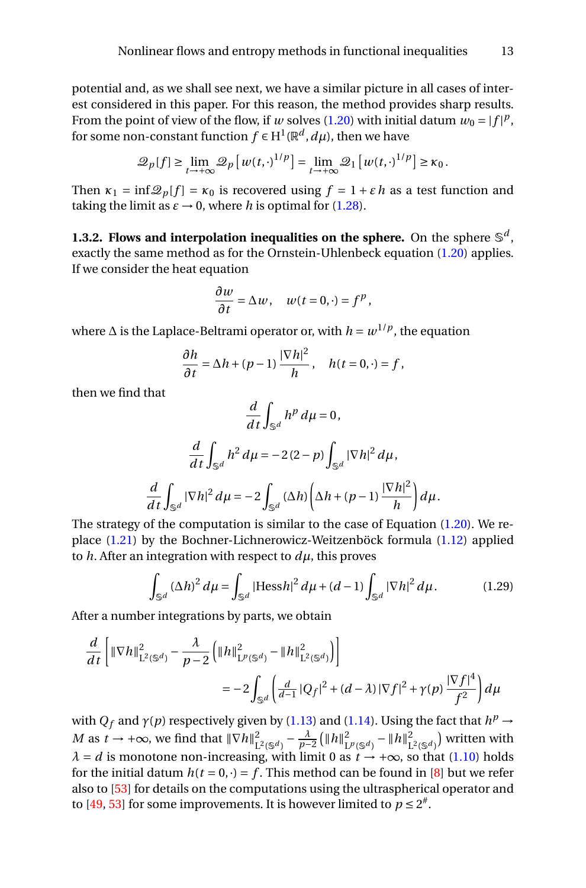potential and, as we shall see next, we have a similar picture in all cases of interest considered in this paper. For this reason, the method provides sharp results. From the point of view of the flow, if *w* solves [\(1.20\)](#page-8-1) with initial datum  $w_0 = |f|^p$ , for some non-constant function  $f \in \mathrm{H}^1(\mathbb{R}^d, d\mu)$ , then we have

$$
\mathcal{Q}_p[f] \geq \lim_{t \to +\infty} \mathcal{Q}_p\left[w(t, \cdot)^{1/p}\right] = \lim_{t \to +\infty} \mathcal{Q}_1\left[w(t, \cdot)^{1/p}\right] \geq \kappa_0.
$$

Then  $\kappa_1 = \inf \mathcal{Q}_p[f] = \kappa_0$  is recovered using  $f = 1 + \varepsilon h$  as a test function and taking the limit as  $\varepsilon \to 0$ , where *h* is optimal for [\(1.28\)](#page-10-0).

<span id="page-12-0"></span>**1.3.2. Flows and interpolation inequalities on the sphere.** On the sphere  $\mathbb{S}^d$ , exactly the same method as for the Ornstein-Uhlenbeck equation [\(1.20\)](#page-8-1) applies. If we consider the heat equation

$$
\frac{\partial w}{\partial t} = \Delta w, \quad w(t = 0, \cdot) = f^p,
$$

where ∆ is the Laplace-Beltrami operator or, with *h* = *w* 1/*p* , the equation

$$
\frac{\partial h}{\partial t} = \Delta h + (p-1) \frac{|\nabla h|^2}{h}, \quad h(t=0, \cdot) = f,
$$

then we find that

$$
\frac{d}{dt} \int_{\mathbb{S}^d} h^p \, d\mu = 0,
$$
\n
$$
\frac{d}{dt} \int_{\mathbb{S}^d} h^2 \, d\mu = -2(2-p) \int_{\mathbb{S}^d} |\nabla h|^2 \, d\mu,
$$
\n
$$
\frac{d}{dt} \int_{\mathbb{S}^d} |\nabla h|^2 \, d\mu = -2 \int_{\mathbb{S}^d} (\Delta h) \left( \Delta h + (p-1) \frac{|\nabla h|^2}{h} \right) d\mu.
$$

The strategy of the computation is similar to the case of Equation [\(1.20\)](#page-8-1). We replace [\(1.21\)](#page-9-0) by the Bochner-Lichnerowicz-Weitzenböck formula [\(1.12\)](#page-5-2) applied to  $h$ . After an integration with respect to  $d\mu$ , this proves

$$
\int_{\mathbb{S}^d} (\Delta h)^2 \, d\mu = \int_{\mathbb{S}^d} |\text{Hess } h|^2 \, d\mu + (d-1) \int_{\mathbb{S}^d} |\nabla h|^2 \, d\mu. \tag{1.29}
$$

After a number integrations by parts, we obtain

$$
\frac{d}{dt} \left[ \|\nabla h\|_{\mathcal{L}^2(\mathbb{S}^d)}^2 - \frac{\lambda}{p-2} \left( \|h\|_{\mathcal{L}^p(\mathbb{S}^d)}^2 - \|h\|_{\mathcal{L}^2(\mathbb{S}^d)}^2 \right) \right]
$$
  
= 
$$
-2 \int_{\mathbb{S}^d} \left( \frac{d}{d-1} |Q_f|^2 + (d-\lambda) |\nabla f|^2 + \gamma(p) \frac{|\nabla f|^4}{f^2} \right) d\mu
$$

with  $Q_f$  and  $\gamma(p)$  respectively given by [\(1.13\)](#page-5-3) and [\(1.14\)](#page-6-1). Using the fact that  $h^p \to$ *M* as  $t \to +\infty$ , we find that  $\|\nabla h\|_{\tau}^2$  $\frac{2}{L^2(S^d)} - \frac{\lambda}{p-2} (\|h\|_{L}^2)$  $\frac{2}{L^p(S^d)} - ||h||^2_L$  $\binom{2}{L^2(\mathbb{S}^d)}$  written with  $\lambda = d$  is monotone non-increasing, with limit 0 as  $t \rightarrow +\infty$ , so that [\(1.10\)](#page-5-0) holds for the initial datum  $h(t = 0, \cdot) = f$ . This method can be found in [\[8\]](#page-26-9) but we refer also to [\[53\]](#page-28-11) for details on the computations using the ultraspherical operator and to [\[49,](#page-28-10) [53\]](#page-28-11) for some improvements. It is however limited to  $p \le 2^{\#}$ .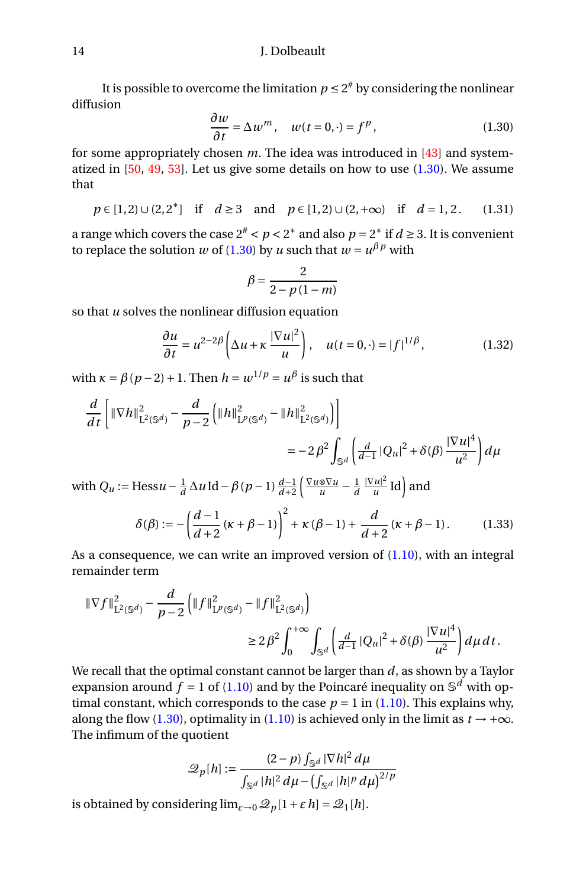It is possible to overcome the limitation  $p \leq 2^\#$  by considering the nonlinear diffusion

<span id="page-13-0"></span>
$$
\frac{\partial w}{\partial t} = \Delta w^m, \quad w(t = 0, \cdot) = f^p, \tag{1.30}
$$

for some appropriately chosen *m*. The idea was introduced in [\[43\]](#page-28-9) and systematized in  $[50, 49, 53]$  $[50, 49, 53]$  $[50, 49, 53]$  $[50, 49, 53]$  $[50, 49, 53]$ . Let us give some details on how to use  $(1.30)$ . We assume that

$$
p \in [1,2) \cup (2,2^*]
$$
 if  $d \ge 3$  and  $p \in [1,2) \cup (2,+\infty)$  if  $d = 1,2$ . (1.31)

a range which covers the case  $2^{\#} < p < 2^*$  and also  $p = 2^*$  if  $d \ge 3$ . It is convenient to replace the solution *w* of [\(1.30\)](#page-13-0) by *u* such that  $w = u^{\beta p}$  with

$$
\beta = \frac{2}{2 - p(1-m)}
$$

so that *u* solves the nonlinear diffusion equation

<span id="page-13-1"></span>
$$
\frac{\partial u}{\partial t} = u^{2-2\beta} \left( \Delta u + \kappa \frac{|\nabla u|^2}{u} \right), \quad u(t = 0, \cdot) = |f|^{1/\beta}, \tag{1.32}
$$

with  $\kappa = \beta(p-2) + 1$ . Then  $h = w^{1/p} = u^{\beta}$  is such that

$$
\frac{d}{dt} \left[ \|\nabla h\|_{\mathcal{L}^2(\mathbb{S}^d)}^2 - \frac{d}{p-2} \left( \|h\|_{\mathcal{L}^p(\mathbb{S}^d)}^2 - \|h\|_{\mathcal{L}^2(\mathbb{S}^d)}^2 \right) \right]
$$
  
=  $-2\beta^2 \int_{\mathbb{S}^d} \left( \frac{d}{d-1} |Q_u|^2 + \delta(\beta) \frac{|\nabla u|^4}{u^2} \right) d\mu$ 

with  $Q_u$  := Hess $u - \frac{1}{d} \Delta u \, \text{Id} - \beta (p-1) \frac{d-1}{d+2} \left( \frac{\nabla u \otimes \nabla u}{u} - \frac{1}{d} \frac{|\nabla u|^2}{u} \right)$  $\frac{du|^2}{u}$  Id) and

$$
\delta(\beta) := -\left(\frac{d-1}{d+2}(\kappa+\beta-1)\right)^2 + \kappa(\beta-1) + \frac{d}{d+2}(\kappa+\beta-1). \tag{1.33}
$$

As a consequence, we can write an improved version of  $(1.10)$ , with an integral remainder term

$$
\begin{aligned} \|\nabla f\|_{\mathcal{L}^2(\mathbb{S}^d)}^2 - \frac{d}{p-2} \left( \|f\|_{\mathcal{L}^p(\mathbb{S}^d)}^2 - \|f\|_{\mathcal{L}^2(\mathbb{S}^d)}^2 \right) \\ &\ge 2\,\beta^2 \int_0^{+\infty} \int_{\mathbb{S}^d} \left( \frac{d}{d-1} |Q_u|^2 + \delta(\beta) \, \frac{|\nabla u|^4}{u^2} \right) d\mu \, dt \, . \end{aligned}
$$

We recall that the optimal constant cannot be larger than *d*, as shown by a Taylor expansion around  $f = 1$  of [\(1.10\)](#page-5-0) and by the Poincaré inequality on  $\mathbb{S}^d$  with optimal constant, which corresponds to the case  $p = 1$  in [\(1.10\)](#page-5-0). This explains why, along the flow [\(1.30\)](#page-13-0), optimality in [\(1.10\)](#page-5-0) is achieved only in the limit as  $t \rightarrow +\infty$ . The infimum of the quotient

$$
\mathcal{Q}_p[h] := \frac{(2-p) \int_{\mathbb{S}^d} |\nabla h|^2 d\mu}{\int_{\mathbb{S}^d} |h|^2 d\mu - \left(\int_{\mathbb{S}^d} |h|^p d\mu\right)^{2/p}}
$$

is obtained by considering  $\lim_{\varepsilon \to 0} \mathcal{Q}_p[1 + \varepsilon h] = \mathcal{Q}_1[h].$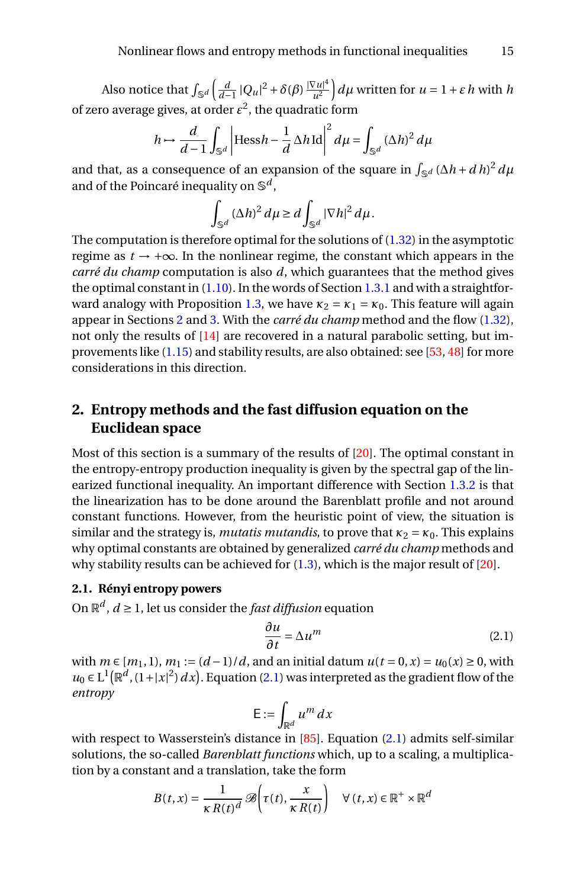Also notice that  $\int_{\mathbb{S}^d} \left( \frac{d}{d-1} |Q_u|^2 + \delta(\beta) \frac{|\nabla u|^4}{u^2} \right)$  $\int \frac{\partial^2 u}{u^2} du$  written for  $u = 1 + \varepsilon h$  with *h* of zero average gives, at order  $\varepsilon^2$ , the quadratic form

$$
h \mapsto \frac{d}{d-1} \int_{\mathbb{S}^d} \left| \text{Hess}\, h - \frac{1}{d} \Delta h \, \text{Id} \right|^2 d\mu = \int_{\mathbb{S}^d} (\Delta h)^2 d\mu
$$

and that, as a consequence of an expansion of the square in  $\int_{\mathbb{S}^d} (\Delta h + d \, h)^2 \, d\mu$ and of the Poincaré inequality on S *d* ,

$$
\int_{\mathbb{S}^d} (\Delta h)^2 \, d\mu \ge d \int_{\mathbb{S}^d} |\nabla h|^2 \, d\mu.
$$

The computation is therefore optimal for the solutions of  $(1.32)$  in the asymptotic regime as  $t \rightarrow +\infty$ . In the nonlinear regime, the constant which appears in the *carré du champ* computation is also *d*, which guarantees that the method gives the optimal constant in  $(1.10)$ . In the words of Section [1.3.1](#page-7-3) and with a straightfor-ward analogy with Proposition [1.3,](#page-10-4) we have  $\kappa_2 = \kappa_1 = \kappa_0$ . This feature will again appear in Sections [2](#page-14-0) and [3.](#page-20-0) With the *carré du champ* method and the flow [\(1.32\)](#page-13-1), not only the results of [\[14\]](#page-26-4) are recovered in a natural parabolic setting, but improvements like  $(1.15)$  and stability results, are also obtained: see [\[53,](#page-28-11) [48\]](#page-28-13) for more considerations in this direction.

# <span id="page-14-0"></span>**2. Entropy methods and the fast diffusion equation on the Euclidean space**

Most of this section is a summary of the results of [\[20\]](#page-27-0). The optimal constant in the entropy-entropy production inequality is given by the spectral gap of the linearized functional inequality. An important difference with Section [1.3.2](#page-12-0) is that the linearization has to be done around the Barenblatt profile and not around constant functions. However, from the heuristic point of view, the situation is similar and the strategy is, *mutatis mutandis*, to prove that  $\kappa_2 = \kappa_0$ . This explains why optimal constants are obtained by generalized *carré du champ* methods and why stability results can be achieved for  $(1.3)$ , which is the major result of  $[20]$ .

## <span id="page-14-2"></span>**2.1. Rényi entropy powers**

On  $\mathbb{R}^d$  ,  $d \geq 1$  , let us consider the *fast diffusion* equation

<span id="page-14-1"></span>
$$
\frac{\partial u}{\partial t} = \Delta u^m \tag{2.1}
$$

with *m* ∈  $[m_1, 1)$ ,  $m_1 := (d-1)/d$ , and an initial datum  $u(t = 0, x) = u_0(x) \ge 0$ , with  $u_0 \in L^1(\mathbb{R}^d, (1+|x|^2) dx)$ . Equation [\(2.1\)](#page-14-1) was interpreted as the gradient flow of the *entropy*

$$
\mathsf{E} := \int_{\mathbb{R}^d} u^m \, dx
$$

with respect to Wasserstein's distance in [\[85\]](#page-30-15). Equation [\(2.1\)](#page-14-1) admits self-similar solutions, the so-called *Barenblatt functions* which, up to a scaling, a multiplication by a constant and a translation, take the form

$$
B(t, x) = \frac{1}{\kappa R(t)^d} \mathscr{B}\left(\tau(t), \frac{x}{\kappa R(t)}\right) \quad \forall (t, x) \in \mathbb{R}^+ \times \mathbb{R}^d
$$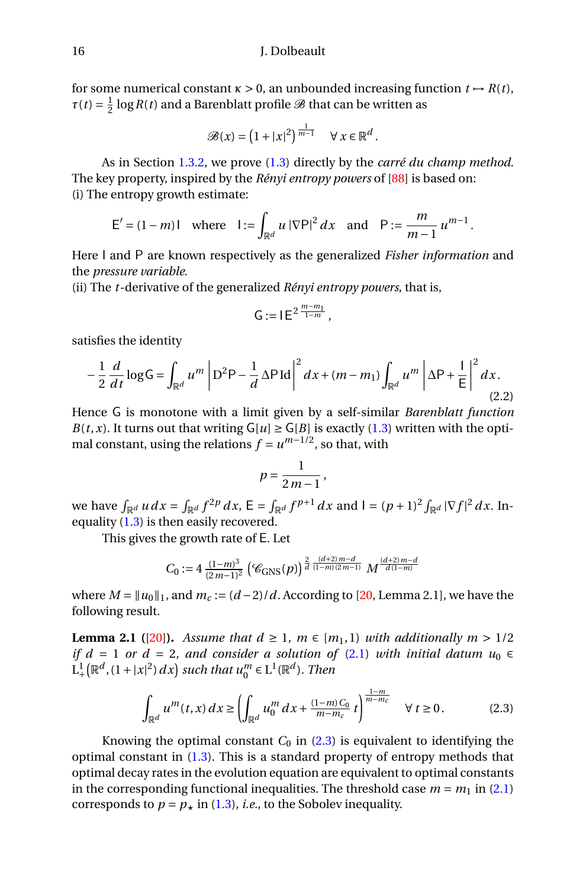for some numerical constant  $\kappa > 0$ , an unbounded increasing function  $t \mapsto R(t)$ ,  $\tau(t) = \frac{1}{2} \log R(t)$  and a Barenblatt profile  $\mathscr{B}$  that can be written as

$$
\mathscr{B}(x) = \left(1 + |x|^2\right)^{\frac{1}{m-1}} \quad \forall \ x \in \mathbb{R}^d.
$$

As in Section [1.3.2,](#page-12-0) we prove [\(1.3\)](#page-2-0) directly by the *carré du champ method*. The key property, inspired by the *Rényi entropy powers* of [\[88\]](#page-30-16) is based on: (i) The entropy growth estimate:

$$
E' = (1 - m)1
$$
 where  $1 := \int_{\mathbb{R}^d} u |\nabla P|^2 dx$  and  $P := \frac{m}{m-1} u^{m-1}$ .

Here I and P are known respectively as the generalized *Fisher information* and the *pressure variable*.

(ii) The *t*-derivative of the generalized *Rényi entropy powers*, that is,

$$
\mathsf{G}:=\mathsf{I}\,\mathsf{E}^{\,2\,\frac{m-m_1}{1-m}}\,,
$$

satisfies the identity

<span id="page-15-1"></span>
$$
-\frac{1}{2}\frac{d}{dt}\log\mathsf{G}=\int_{\mathbb{R}^d}u^m\left|\mathsf{D}^2\mathsf{P}-\frac{1}{d}\Delta\mathsf{P}\,\mathrm{Id}\right|^2dx+(m-m_1)\int_{\mathbb{R}^d}u^m\left|\Delta\mathsf{P}+\frac{1}{\mathsf{E}}\right|^2dx.\tag{2.2}
$$

Hence G is monotone with a limit given by a self-similar *Barenblatt function B*(*t*,*x*). It turns out that writing  $G[u] \ge G[B]$  is exactly [\(1.3\)](#page-2-0) written with the optimal constant, using the relations  $f = u^{m-1/2}$ , so that, with

$$
p=\frac{1}{2m-1},
$$

we have  $\int_{\mathbb{R}^d} u \, dx = \int_{\mathbb{R}^d} f^{2p} \, dx$ ,  $E = \int_{\mathbb{R}^d} f^{p+1} \, dx$  and  $I = (p+1)^2 \int_{\mathbb{R}^d} |\nabla f|^2 \, dx$ . Inequality  $(1.3)$  is then easily recovered.

This gives the growth rate of E. Let

$$
C_0 := 4 \frac{(1-m)^3}{(2m-1)^2} \left( \mathcal{C}_{\text{GNS}}(p) \right)^{\frac{2}{d} \frac{(d+2)m-d}{(1-m)(2m-1)}} M^{\frac{(d+2)m-d}{d(1-m)}}
$$

where  $M = ||u_0||_1$ , and  $m_c := (d-2)/d$ . According to [\[20,](#page-27-0) Lemma 2.1], we have the following result.

<span id="page-15-2"></span>**Lemma 2.1** ([\[20\]](#page-27-0)). Assume that  $d \ge 1$ ,  $m \in [m_1, 1]$  with additionally  $m > 1/2$ *if d* = 1 *or d* = 2*, and consider a solution of* [\(2.1\)](#page-14-1) *with initial datum*  $u_0 \in$  $L_+^1\big(\mathbb{R}^d,(1+|x|^2)\,dx\big)$  such that  $u_0^m\in L^1(\mathbb{R}^d)$ . Then

<span id="page-15-0"></span>
$$
\int_{\mathbb{R}^d} u^m(t, x) \, dx \ge \left( \int_{\mathbb{R}^d} u_0^m \, dx + \frac{(1-m) \, C_0}{m-m_c} \, t \right)^{\frac{1-m}{m-m_c}} \quad \forall \, t \ge 0. \tag{2.3}
$$

Knowing the optimal constant  $C_0$  in  $(2.3)$  is equivalent to identifying the optimal constant in  $(1.3)$ . This is a standard property of entropy methods that optimal decay rates in the evolution equation are equivalent to optimal constants in the corresponding functional inequalities. The threshold case  $m = m_1$  in [\(2.1\)](#page-14-1) corresponds to  $p = p_*$  in [\(1.3\)](#page-2-0), *i.e.*, to the Sobolev inequality.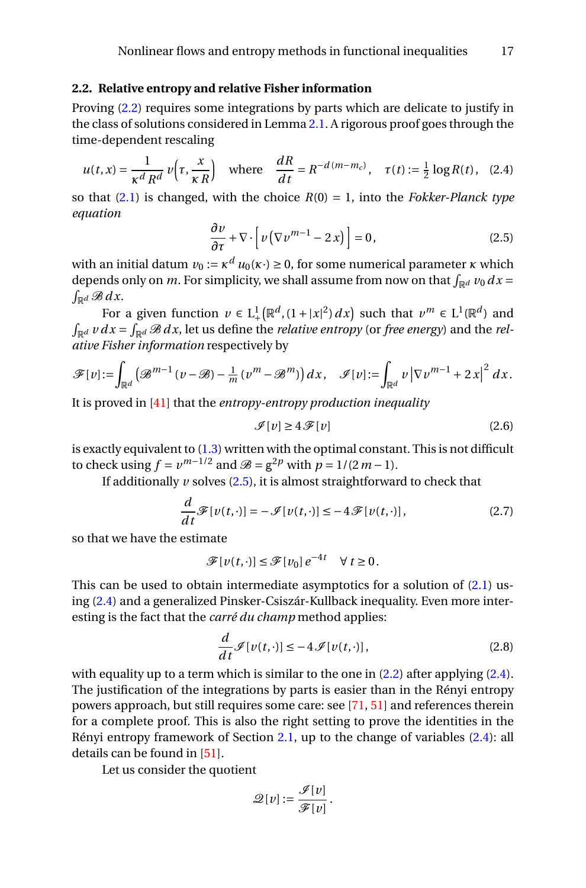## <span id="page-16-5"></span>**2.2. Relative entropy and relative Fisher information**

Proving [\(2.2\)](#page-15-1) requires some integrations by parts which are delicate to justify in the class of solutions considered in Lemma [2.1.](#page-15-2) A rigorous proof goes through the time-dependent rescaling

<span id="page-16-1"></span>
$$
u(t,x) = \frac{1}{\kappa^d R^d} v\left(\tau, \frac{x}{\kappa R}\right) \quad \text{where} \quad \frac{dR}{dt} = R^{-d(m-m_c)}, \quad \tau(t) := \frac{1}{2} \log R(t), \quad (2.4)
$$

so that  $(2.1)$  is changed, with the choice  $R(0) = 1$ , into the *Fokker-Planck type equation*

<span id="page-16-0"></span>
$$
\frac{\partial v}{\partial \tau} + \nabla \cdot \left[ v \left( \nabla v^{m-1} - 2x \right) \right] = 0, \tag{2.5}
$$

with an initial datum  $v_0 := \kappa^d u_0(\kappa \cdot) \ge 0$ , for some numerical parameter  $\kappa$  which depends only on *m*. For simplicity, we shall assume from now on that  $\int_{\mathbb{R}^d} v_0 dx =$   $\int_{\mathbb{R}^d} \mathcal{B} dx$ .  $\int_{\mathbb{R}^d} \mathcal{B} \, dx$ .

For a given function  $v \in L^1_+(\mathbb{R}^d, (1+|x|^2) dx)$  such that  $v^m \in L^1(\mathbb{R}^d)$  and  $\int_{\mathbb{R}^d} v \, dx = \int_{\mathbb{R}^d} \mathcal{B} \, dx$ , let us define the *relative entropy* (or *free energy*) and the *relative Fisher information* respectively by

$$
\mathscr{F}[v]:=\int_{\mathbb{R}^d}\left(\mathscr{B}^{m-1}\left(v-\mathscr{B}\right)-\frac{1}{m}\left(v^m-\mathscr{B}^m\right)\right)dx,\quad \mathscr{I}[v]:=\int_{\mathbb{R}^d}v\left|\nabla v^{m-1}+2x\right|^2dx.
$$

It is proved in [\[41\]](#page-28-5) that the *entropy-entropy production inequality*

<span id="page-16-4"></span>
$$
\mathcal{I}[v] \ge 4\mathcal{F}[v] \tag{2.6}
$$

is exactly equivalent to  $(1.3)$  written with the optimal constant. This is not difficult to check using  $f = v^{m-1/2}$  and  $\mathcal{B} = g^{2p}$  with  $p = 1/(2m-1)$ .

If additionally  $\nu$  solves [\(2.5\)](#page-16-0), it is almost straightforward to check that

<span id="page-16-2"></span>
$$
\frac{d}{dt}\mathscr{F}[v(t,\cdot)] = -\mathscr{I}[v(t,\cdot)] \leq -4\mathscr{F}[v(t,\cdot)],\tag{2.7}
$$

so that we have the estimate

$$
\mathscr{F}[v(t,\cdot)] \leq \mathscr{F}[v_0] e^{-4t} \quad \forall \ t \geq 0.
$$

This can be used to obtain intermediate asymptotics for a solution of [\(2.1\)](#page-14-1) using [\(2.4\)](#page-16-1) and a generalized Pinsker-Csiszár-Kullback inequality. Even more interesting is the fact that the *carré du champ* method applies:

<span id="page-16-3"></span>
$$
\frac{d}{dt}\mathcal{I}[v(t,\cdot)] \le -4\mathcal{I}[v(t,\cdot)],\tag{2.8}
$$

with equality up to a term which is similar to the one in [\(2.2\)](#page-15-1) after applying [\(2.4\)](#page-16-1). The justification of the integrations by parts is easier than in the Rényi entropy powers approach, but still requires some care: see [\[71,](#page-29-18) [51\]](#page-28-15) and references therein for a complete proof. This is also the right setting to prove the identities in the Rényi entropy framework of Section [2.1,](#page-14-2) up to the change of variables [\(2.4\)](#page-16-1): all details can be found in [\[51\]](#page-28-15).

Let us consider the quotient

$$
\mathscr{Q}[v] := \frac{\mathscr{I}[v]}{\mathscr{F}[v]}.
$$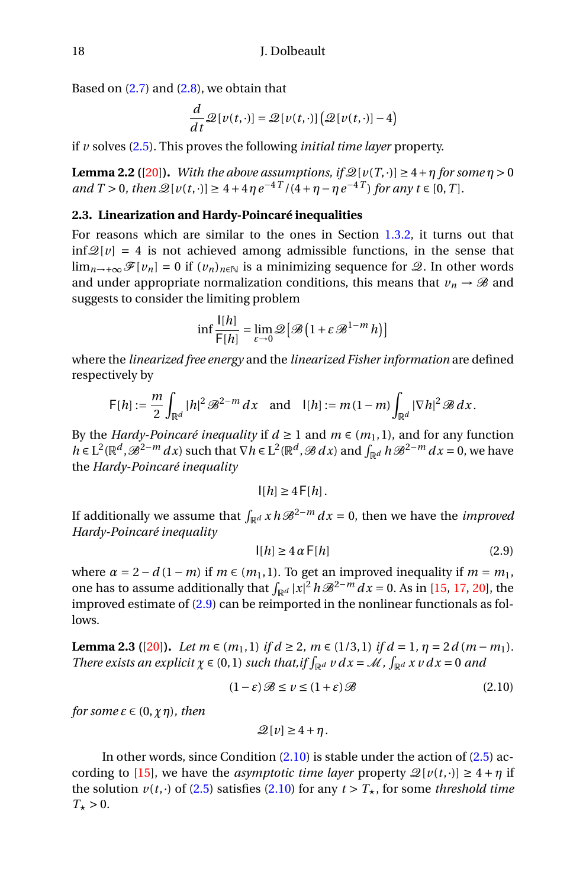Based on  $(2.7)$  and  $(2.8)$ , we obtain that

$$
\frac{d}{dt}\mathcal{Q}[v(t,\cdot)] = \mathcal{Q}[v(t,\cdot)]\big(\mathcal{Q}[v(t,\cdot)]-4\big)
$$

if *v* solves [\(2.5\)](#page-16-0). This proves the following *initial time layer* property.

<span id="page-17-3"></span>**Lemma 2.2** ([\[20\]](#page-27-0)). *With the above assumptions, if*  $\mathcal{Q}[v(T, \cdot)] \geq 4 + \eta$  *for some*  $\eta > 0$ *and*  $T > 0$ *, then*  $\mathcal{Q}[v(t, \cdot)] \ge 4 + 4\eta e^{-4T}/(4 + \eta - \eta e^{-4T})$  for any  $t \in [0, T]$ *.* 

## **2.3. Linearization and Hardy-Poincaré inequalities**

For reasons which are similar to the ones in Section [1.3.2,](#page-12-0) it turns out that  $\inf \mathcal{Q}[v] = 4$  is not achieved among admissible functions, in the sense that lim<sub>*n*→+∞</sub>  $\mathscr{F}[v_n] = 0$  if  $(v_n)_{n \in \mathbb{N}}$  is a minimizing sequence for  $\mathscr{Q}$ . In other words and under appropriate normalization conditions, this means that  $v_n \to \mathcal{B}$  and suggests to consider the limiting problem

$$
\inf \frac{\mathsf{I}[h]}{\mathsf{F}[h]} = \lim_{\varepsilon \to 0} \mathscr{Q}\big[\mathscr{B}\big(1 + \varepsilon \mathscr{B}^{1-m} h\big)\big]
$$

where the *linearized free energy* and the *linearized Fisher information* are defined respectively by

$$
\mathsf{F}[h] := \frac{m}{2} \int_{\mathbb{R}^d} |h|^2 \mathscr{B}^{2-m} dx \text{ and } |[h] := m(1-m) \int_{\mathbb{R}^d} |\nabla h|^2 \mathscr{B} dx.
$$

By the *Hardy-Poincaré inequality* if  $d \ge 1$  and  $m \in (m_1, 1)$ , and for any function *h* ∈ L<sup>2</sup>( $\mathbb{R}^d$ ,  $\mathcal{B}^{2-m} dx$ ) such that  $\nabla h$  ∈ L<sup>2</sup>( $\mathbb{R}^d$ ,  $\mathcal{B} dx$ ) and  $\int_{\mathbb{R}^d} h \mathcal{B}^{2-m} dx = 0$ , we have the *Hardy-Poincaré inequality*

$$
|[h] \ge 4 \, \mathsf{F}[h].
$$

If additionally we assume that  $\int_{\mathbb{R}^d} x \, h \mathcal{B}^{2-m} dx = 0$ , then we have the *improved Hardy-Poincaré inequality*

<span id="page-17-0"></span>
$$
|[h] \ge 4 \alpha \mathsf{F}[h] \tag{2.9}
$$

where  $\alpha = 2 - d(1 - m)$  if  $m \in (m_1, 1)$ . To get an improved inequality if  $m = m_1$ , one has to assume additionally that  $\int_{\mathbb{R}^d} |x|^2 h \mathcal{B}^{2-m} dx = 0$ . As in [\[15,](#page-26-11) [17,](#page-26-12) [20\]](#page-27-0), the improved estimate of [\(2.9\)](#page-17-0) can be reimported in the nonlinear functionals as follows.

<span id="page-17-2"></span>**Lemma 2.3** ([\[20\]](#page-27-0)). *Let*  $m \in (m_1, 1)$  *if*  $d \ge 2$ *,*  $m \in (1/3, 1)$  *if*  $d = 1$ *,*  $\eta = 2d(m - m_1)$ *. There exists an explicit*  $\chi \in (0, 1)$  *such that,if*  $\int_{\mathbb{R}^d} v \, dx = \mathcal{M}$ ,  $\int_{\mathbb{R}^d} x \, v \, dx = 0$  *and* 

<span id="page-17-1"></span>
$$
(1 - \varepsilon)\mathcal{B} \le v \le (1 + \varepsilon)\mathcal{B}
$$
\n<sup>(2.10)</sup>

*for some*  $\varepsilon \in (0, \chi \eta)$ *, then* 

$$
\mathcal{Q}[v] \ge 4 + \eta.
$$

In other words, since Condition [\(2.10\)](#page-17-1) is stable under the action of [\(2.5\)](#page-16-0) ac-cording to [\[15\]](#page-26-11), we have the *asymptotic time layer* property  $\mathcal{Q}[v(t, \cdot)] \geq 4 + \eta$  if the solution  $v(t, \cdot)$  of [\(2.5\)](#page-16-0) satisfies [\(2.10\)](#page-17-1) for any  $t > T_{\star}$ , for some *threshold time*  $T_{\star} > 0$ .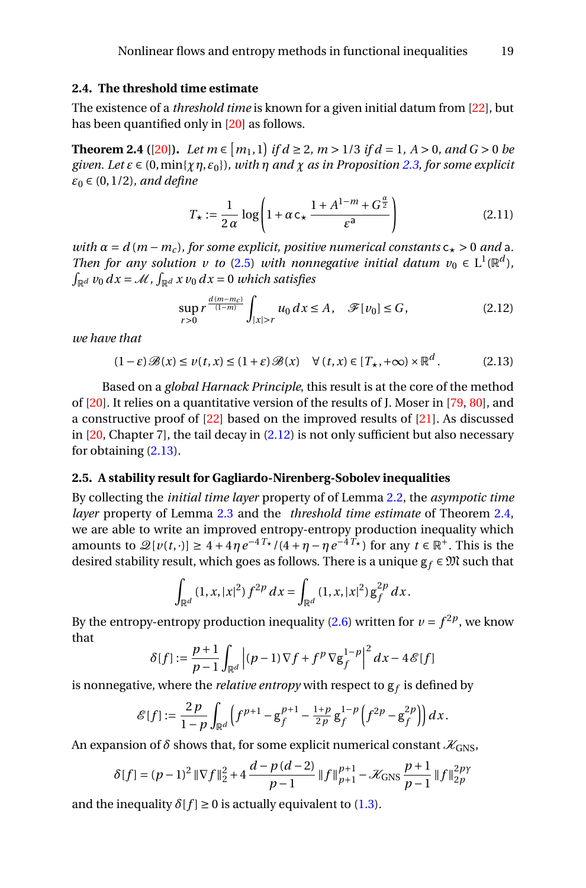## **2.4. The threshold time estimate**

The existence of a *threshold time* is known for a given initial datum from [\[22\]](#page-27-11), but has been quantified only in [\[20\]](#page-27-0) as follows.

<span id="page-18-2"></span>**Theorem 2.4** ([\[20\]](#page-27-0)). Let  $m \in [m_1, 1]$  if  $d \ge 2$ ,  $m > 1/3$  if  $d = 1$ ,  $A > 0$ , and  $G > 0$  be *given. Let*  $\varepsilon \in (0, \min\{ \chi \eta, \varepsilon_0 \})$ , with  $\eta$  *and*  $\chi$  *as in Proposition* [2.3,](#page-17-2) for some explicit *ε*<sup>0</sup> ∈ (0, 1/2)*, and define*

$$
T_{\star} := \frac{1}{2\alpha} \log \left( 1 + \alpha \, c_{\star} \, \frac{1 + A^{1-m} + G^{\frac{\alpha}{2}}}{\varepsilon^{a}} \right) \tag{2.11}
$$

*with*  $\alpha = d(m - m_c)$ , for some explicit, positive numerical constants  $c_{\star} > 0$  *and* a. *Then for any solution v to* [\(2.5\)](#page-16-0) *with nonnegative initial datum*  $v_0 \in L^1(\mathbb{R}^d)$ ,  $\int_{\mathbb{R}^d} v_0 \, dx = \mathcal{M}$  ,  $\int_{\mathbb{R}^d} x \, v_0 \, dx = 0$  which satisfies

<span id="page-18-0"></span>
$$
\sup_{r>0} r^{\frac{d(m-m_c)}{(1-m)}} \int_{|x|>r} u_0 \, dx \le A, \quad \mathcal{F}[v_0] \le G,\tag{2.12}
$$

*we have that*

<span id="page-18-1"></span>
$$
(1 - \varepsilon) \mathcal{B}(x) \le v(t, x) \le (1 + \varepsilon) \mathcal{B}(x) \quad \forall (t, x) \in [T_{\star}, +\infty) \times \mathbb{R}^d. \tag{2.13}
$$

Based on a *global Harnack Principle*, this result is at the core of the method of [\[20\]](#page-27-0). It relies on a quantitative version of the results of J. Moser in [\[79,](#page-30-17) [80\]](#page-30-18), and a constructive proof of [\[22\]](#page-27-11) based on the improved results of [\[21\]](#page-27-12). As discussed in [\[20,](#page-27-0) Chapter 7], the tail decay in [\(2.12\)](#page-18-0) is not only sufficient but also necessary for obtaining [\(2.13\)](#page-18-1).

#### <span id="page-18-3"></span>**2.5. A stability result for Gagliardo-Nirenberg-Sobolev inequalities**

By collecting the *initial time layer* property of of Lemma [2.2,](#page-17-3) the *asympotic time layer* property of Lemma [2.3](#page-17-2) and the *threshold time estimate* of Theorem [2.4,](#page-18-2) we are able to write an improved entropy-entropy production inequality which amounts to  $\mathscr{Q}[v(t, \cdot)] \geq 4 + 4\eta e^{-4T_\star}/(4 + \eta - \eta e^{-4T_\star})$  for any  $t \in \mathbb{R}^+$ . This is the desired stability result, which goes as follows. There is a unique  $g_f \in \mathfrak{M}$  such that

$$
\int_{\mathbb{R}^d} (1, x, |x|^2) f^{2p} dx = \int_{\mathbb{R}^d} (1, x, |x|^2) g_f^{2p} dx.
$$

By the entropy-entropy production inequality [\(2.6\)](#page-16-4) written for  $\nu = f^{2p}$ , we know that

$$
\delta[f] := \frac{p+1}{p-1} \int_{\mathbb{R}^d} \left| (p-1) \nabla f + f^p \nabla g_f^{1-p} \right|^2 dx - 4 \mathcal{E}[f]
$$

is nonnegative, where the *relative entropy* with respect to  $\mathsf{g}_f$  is defined by

$$
\mathscr{E}[f] := \frac{2\,p}{1-p} \int_{\mathbb{R}^d} \left( f^{p+1} - g_f^{p+1} - \frac{1+p}{2p} \, g_f^{1-p} \left( f^{2p} - g_f^{2p} \right) \right) dx.
$$

An expansion of  $\delta$  shows that, for some explicit numerical constant  $\mathcal{X}_{GNS}$ ,

$$
\delta[f] = (p-1)^2 \|\nabla f\|_2^2 + 4 \frac{d-p(d-2)}{p-1} \|f\|_{p+1}^{p+1} - \mathcal{K}_{\text{GNS}} \frac{p+1}{p-1} \|f\|_{2p}^{2p\gamma}
$$

and the inequality  $\delta[f] \geq 0$  is actually equivalent to [\(1.3\)](#page-2-0).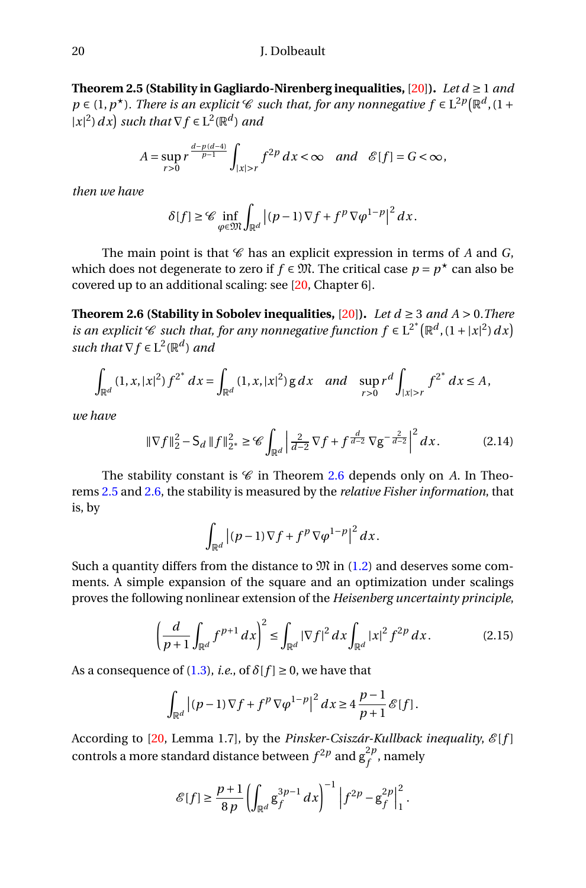<span id="page-19-0"></span>**Theorem 2.5 (Stability in Gagliardo-Nirenberg inequalities, [\[20\]](#page-27-0)).** *Let*  $d \ge 1$  *and*  $p \in (1, p<sup>*</sup>)$ *. There is an explicit* C *such that, for any nonnegative*  $f \in L^{2p}(\mathbb{R}^d, 1 +$  $|x|^2$  *dx ) such that*  $\nabla f \in L^2(\mathbb{R}^d)$  *and* 

$$
A = \sup_{r>0} r^{\frac{d-p(d-4)}{p-1}} \int_{|x|>r} f^{2p} dx < \infty \quad and \quad \mathcal{E}[f] = G < \infty,
$$

*then we have*

$$
\delta[f] \geq \mathcal{C} \inf_{\varphi \in \mathfrak{M}} \int_{\mathbb{R}^d} |(p-1) \nabla f + f^p \nabla \varphi^{1-p}|^2 dx.
$$

The main point is that  $\mathscr C$  has an explicit expression in terms of  $A$  and  $G$ , which does not degenerate to zero if  $f ∈ \mathfrak{M}$ . The critical case  $p = p^\star$  can also be covered up to an additional scaling: see [\[20,](#page-27-0) Chapter 6].

<span id="page-19-1"></span>**Theorem 2.6 (Stability in Sobolev inequalities, [\[20\]](#page-27-0)).** *Let*  $d \geq 3$  *and A* > 0*.There is an explicit*  $\mathscr C$  *such that, for any nonnegative function*  $f \in L^{2^*}(\mathbb R^d, (1+|x|^2) dx)$ such that  $\nabla f \in L^2(\mathbb{R}^d)$  and

$$
\int_{\mathbb{R}^d} (1, x, |x|^2) f^{2^*} dx = \int_{\mathbb{R}^d} (1, x, |x|^2) g dx \text{ and } \sup_{r>0} r^d \int_{|x|>r} f^{2^*} dx \leq A,
$$

*we have*

$$
\|\nabla f\|_{2}^{2} - \mathsf{S}_{d} \, \|f\|_{2^{*}}^{2} \geq \mathscr{C} \int_{\mathbb{R}^{d}} \left| \frac{2}{d-2} \nabla f + f^{\frac{d}{d-2}} \nabla g^{-\frac{2}{d-2}} \right|^{2} dx. \tag{2.14}
$$

The stability constant is  $C$  in Theorem [2.6](#page-19-1) depends only on *A*. In Theorems [2.5](#page-19-0) and [2.6,](#page-19-1) the stability is measured by the *relative Fisher information*, that is, by

$$
\int_{\mathbb{R}^d} \left| (p-1) \nabla f + f^p \nabla \varphi^{1-p} \right|^2 dx.
$$

Such a quantity differs from the distance to  $\mathfrak{M}$  in [\(1.2\)](#page-2-1) and deserves some comments. A simple expansion of the square and an optimization under scalings proves the following nonlinear extension of the *Heisenberg uncertainty principle*,

$$
\left(\frac{d}{p+1}\int_{\mathbb{R}^d} f^{p+1} \, dx\right)^2 \le \int_{\mathbb{R}^d} |\nabla f|^2 \, dx \int_{\mathbb{R}^d} |x|^2 \, f^{2p} \, dx. \tag{2.15}
$$

As a consequence of [\(1.3\)](#page-2-0), *i.e.*, of  $\delta[f] \geq 0$ , we have that

$$
\int_{\mathbb{R}^d} \left| (p-1) \nabla f + f^p \nabla \varphi^{1-p} \right|^2 dx \ge 4 \frac{p-1}{p+1} \mathcal{E}[f].
$$

According to [\[20,](#page-27-0) Lemma 1.7], by the *Pinsker-Csiszár-Kullback inequality*,  $\mathcal{E}[f]$ controls a more standard distance between  $f^{2p}$  and  $g_f^{2p}$  $f^{\mu}$ , namely

$$
\mathcal{E}[f] \ge \frac{p+1}{8p} \left( \int_{\mathbb{R}^d} g_f^{3p-1} \, dx \right)^{-1} \left| f^{2p} - g_f^{2p} \right|^2_1.
$$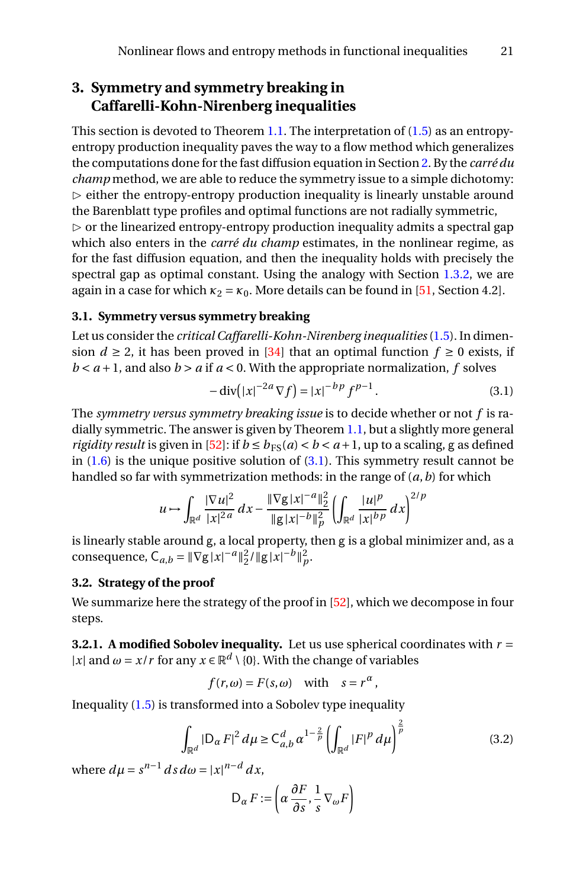# <span id="page-20-0"></span>**3. Symmetry and symmetry breaking in Caffarelli-Kohn-Nirenberg inequalities**

This section is devoted to Theorem [1.1.](#page-4-4) The interpretation of [\(1.5\)](#page-3-0) as an entropyentropy production inequality paves the way to a flow method which generalizes the computations done for the fast diffusion equation in Section [2.](#page-14-0) By the *carré du champ* method, we are able to reduce the symmetry issue to a simple dichotomy:  $\triangleright$  either the entropy-entropy production inequality is linearly unstable around the Barenblatt type profiles and optimal functions are not radially symmetric,  $\triangleright$  or the linearized entropy-entropy production inequality admits a spectral gap which also enters in the *carré du champ* estimates, in the nonlinear regime, as for the fast diffusion equation, and then the inequality holds with precisely the spectral gap as optimal constant. Using the analogy with Section [1.3.2,](#page-12-0) we are again in a case for which  $\kappa_2 = \kappa_0$ . More details can be found in [\[51,](#page-28-15) Section 4.2].

### **3.1. Symmetry versus symmetry breaking**

Let us consider the *critical Caffarelli-Kohn-Nirenberg inequalities*[\(1.5\)](#page-3-0). In dimension  $d \ge 2$ , it has been proved in [\[34\]](#page-27-6) that an optimal function  $f \ge 0$  exists, if  $b < a + 1$ , and also  $b > a$  if  $a < 0$ . With the appropriate normalization, f solves

<span id="page-20-1"></span>
$$
-\operatorname{div}(|x|^{-2a}\nabla f) = |x|^{-bp} f^{p-1}.
$$
 (3.1)

The *symmetry versus symmetry breaking issue* is to decide whether or not *f* is radially symmetric. The answer is given by Theorem [1.1,](#page-4-4) but a slightly more general *rigidity result* is given in [\[52\]](#page-28-0): if  $b \leq b_{FS}(a) < b < a+1$ , up to a scaling, g as defined in  $(1.6)$  is the unique positive solution of  $(3.1)$ . This symmetry result cannot be handled so far with symmetrization methods: in the range of (*a*,*b*) for which

$$
u \mapsto \int_{\mathbb{R}^d} \frac{|\nabla u|^2}{|x|^{2a}} dx - \frac{\|\nabla g|x|^{-a}\|_2^2}{\|g|x|^{-b}\|_p^2} \left( \int_{\mathbb{R}^d} \frac{|u|^p}{|x|^{bp}} dx \right)^{2/p}
$$

is linearly stable around g, a local property, then g is a global minimizer and, as a consequence,  $C_{a,b} = ||\nabla g||x|^{-a}||_2^2 / ||g||x|^{-b}||_p^2$ .

## <span id="page-20-3"></span>**3.2. Strategy of the proof**

We summarize here the strategy of the proof in [\[52\]](#page-28-0), which we decompose in four steps.

**3.2.1.** A modified Sobolev inequality. Let us use spherical coordinates with  $r =$ |*x*| and  $\omega = x/r$  for any  $x \in \mathbb{R}^d \setminus \{0\}$ . With the change of variables

$$
f(r,\omega) = F(s,\omega) \quad \text{with} \quad s = r^{\alpha},
$$

Inequality [\(1.5\)](#page-3-0) is transformed into a Sobolev type inequality

<span id="page-20-2"></span>
$$
\int_{\mathbb{R}^d} |D_{\alpha} F|^2 d\mu \ge C_{a,b}^d \alpha^{1-\frac{2}{p}} \left( \int_{\mathbb{R}^d} |F|^p d\mu \right)^{\frac{2}{p}} \tag{3.2}
$$

where  $d\mu = s^{n-1} ds d\omega = |x|^{n-d} dx$ ,

$$
D_{\alpha} F := \left( \alpha \, \frac{\partial F}{\partial s}, \frac{1}{s} \, \nabla_{\omega} F \right)
$$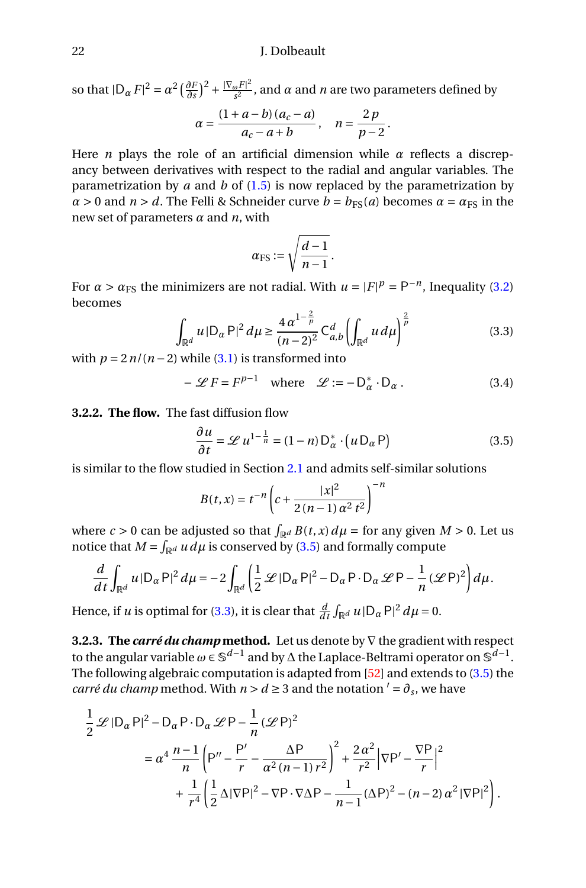so that  $|D_{\alpha} F|^2 = \alpha^2 \left(\frac{\partial F}{\partial s}\right)^2 + \frac{|\nabla_{\omega} F|^2}{s^2}$  $\frac{\omega^{P\perp}}{s^2}$ , and  $\alpha$  and  $n$  are two parameters defined by

$$
\alpha = \frac{(1+a-b)(a_c-a)}{a_c-a+b}, \quad n = \frac{2p}{p-2}.
$$

Here *n* plays the role of an artificial dimension while  $\alpha$  reflects a discrepancy between derivatives with respect to the radial and angular variables. The parametrization by *a* and *b* of [\(1.5\)](#page-3-0) is now replaced by the parametrization by  $\alpha$  > 0 and *n* > *d*. The Felli & Schneider curve  $b = b_{FS}(a)$  becomes  $\alpha = \alpha_{FS}$  in the new set of parameters *α* and *n*, with

$$
\alpha_{\rm FS}:=\sqrt{\frac{d-1}{n-1}}.
$$

For  $\alpha > \alpha_{FS}$  the minimizers are not radial. With  $u = |F|^p = P^{-n}$ , Inequality [\(3.2\)](#page-20-2) becomes

<span id="page-21-1"></span>
$$
\int_{\mathbb{R}^d} u \, |\mathsf{D}_\alpha \, \mathsf{P}|^2 \, d\mu \ge \frac{4 \, \alpha^{1 - \frac{2}{p}}}{(n - 2)^2} \, \mathsf{C}_{a,b}^d \left( \int_{\mathbb{R}^d} u \, d\mu \right)^{\frac{2}{p}} \tag{3.3}
$$

with  $p = 2n/(n-2)$  while [\(3.1\)](#page-20-1) is transformed into

<span id="page-21-2"></span>
$$
-\mathcal{L}F = F^{p-1} \quad \text{where} \quad \mathcal{L} := -\mathsf{D}_{\alpha}^* \cdot \mathsf{D}_{\alpha} \,. \tag{3.4}
$$

**3.2.2. The flow.** The fast diffusion flow

<span id="page-21-0"></span>
$$
\frac{\partial u}{\partial t} = \mathcal{L} u^{1 - \frac{1}{n}} = (1 - n) D_{\alpha}^* \cdot (u D_{\alpha} P)
$$
 (3.5)

is similar to the flow studied in Section [2.1](#page-14-2) and admits self-similar solutions

$$
B(t, x) = t^{-n} \left( c + \frac{|x|^2}{2(n-1)\alpha^2 t^2} \right)^{-n}
$$

where  $c > 0$  can be adjusted so that  $\int_{\mathbb{R}^d} B(t, x) d\mu =$  for any given  $M > 0$ . Let us notice that  $M = \int_{\mathbb{R}^d} u \, d\mu$  is conserved by [\(3.5\)](#page-21-0) and formally compute

$$
\frac{d}{dt}\int_{\mathbb{R}^d} u \, |\mathsf{D}_{\alpha} \mathsf{P}|^2 \, d\mu = -2 \int_{\mathbb{R}^d} \left( \frac{1}{2} \mathscr{L} \, |\mathsf{D}_{\alpha} \mathsf{P}|^2 - \mathsf{D}_{\alpha} \mathsf{P} \cdot \mathsf{D}_{\alpha} \, \mathscr{L} \mathsf{P} - \frac{1}{n} \left( \mathscr{L} \mathsf{P} \right)^2 \right) d\mu.
$$

Hence, if *u* is optimal for [\(3.3\)](#page-21-1), it is clear that  $\frac{d}{dt} \int_{\mathbb{R}^d} u \, |\mathsf{D}_\alpha \mathsf{P}|^2 \, d\mu = 0$ .

**3.2.3. The** *carré du champ* **method.** Let us denote by ∇ the gradient with respect to the angular variable  $\omega \in \mathbb{S}^{d-1}$  and by  $\Delta$  the Laplace-Beltrami operator on  $\mathbb{S}^{d-1}$ . The following algebraic computation is adapted from [\[52\]](#page-28-0) and extends to [\(3.5\)](#page-21-0) the *carré du champ* method. With  $n > d \geq 3$  and the notation  $' = \partial_s$ , we have

$$
\frac{1}{2} \mathcal{L} |D_{\alpha} P|^2 - D_{\alpha} P \cdot D_{\alpha} \mathcal{L} P - \frac{1}{n} (\mathcal{L} P)^2
$$
  
=  $\alpha^4 \frac{n-1}{n} \left( P'' - \frac{P'}{r} - \frac{\Delta P}{\alpha^2 (n-1) r^2} \right)^2 + \frac{2\alpha^2}{r^2} |\nabla P' - \frac{\nabla P}{r}|^2$   
+  $\frac{1}{r^4} \left( \frac{1}{2} \Delta |\nabla P|^2 - \nabla P \cdot \nabla \Delta P - \frac{1}{n-1} (\Delta P)^2 - (n-2) \alpha^2 |\nabla P|^2 \right).$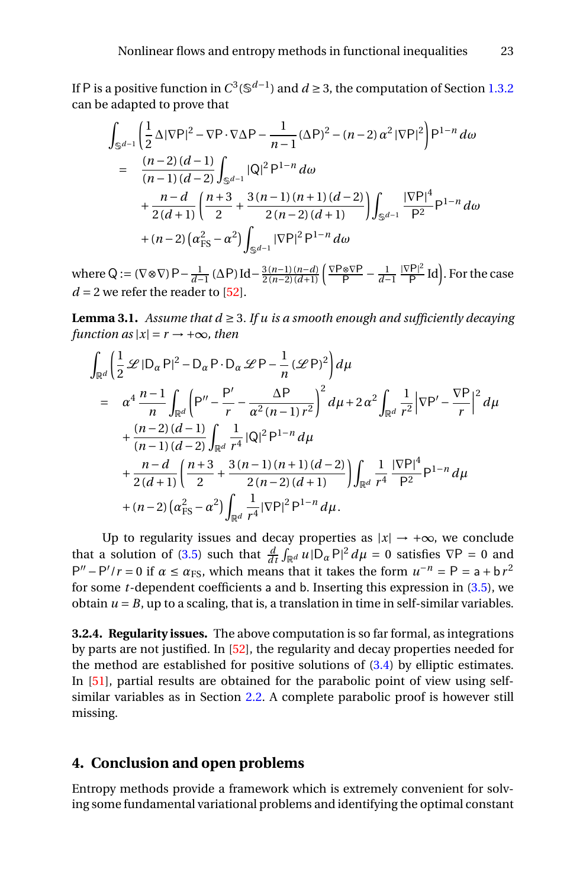If P is a positive function in  $C^3(\mathbb{S}^{d-1})$  and  $d≥3,$  the computation of Section [1.3.2](#page-12-0) can be adapted to prove that

$$
\int_{\mathbb{S}^{d-1}} \left( \frac{1}{2} \Delta |\nabla P|^2 - \nabla P \cdot \nabla \Delta P - \frac{1}{n-1} (\Delta P)^2 - (n-2) \alpha^2 |\nabla P|^2 \right) P^{1-n} d\omega
$$
\n
$$
= \frac{(n-2)(d-1)}{(n-1)(d-2)} \int_{\mathbb{S}^{d-1}} |Q|^2 P^{1-n} d\omega
$$
\n
$$
+ \frac{n-d}{2(d+1)} \left( \frac{n+3}{2} + \frac{3(n-1)(n+1)(d-2)}{2(n-2)(d+1)} \right) \int_{\mathbb{S}^{d-1}} \frac{|\nabla P|^4}{P^2} P^{1-n} d\omega
$$
\n
$$
+ (n-2) \left( \alpha_{\rm FS}^2 - \alpha^2 \right) \int_{\mathbb{S}^{d-1}} |\nabla P|^2 P^{1-n} d\omega
$$

 $where Q := (\nabla \otimes \nabla) P - \frac{1}{d-1} (\Delta P) Id - \frac{3(n-1)(n-d)}{2(n-2)(d+1)} \left( \frac{\nabla P \otimes \nabla P}{P} - \frac{1}{d-1} \frac{|\nabla P|^2}{P} \right)$  $\frac{P}{P}$ Id). For the case  $d = 2$  we refer the reader to [\[52\]](#page-28-0).

**Lemma 3.1.** *Assume that*  $d \geq 3$ *. If u is a smooth enough and sufficiently decaying function as*  $|x| = r \rightarrow +\infty$ *, then* 

$$
\int_{\mathbb{R}^d} \left( \frac{1}{2} \mathcal{L} |D_{\alpha} P|^2 - D_{\alpha} P \cdot D_{\alpha} \mathcal{L} P - \frac{1}{n} (\mathcal{L} P)^2 \right) d\mu
$$
\n
$$
= \alpha^4 \frac{n-1}{n} \int_{\mathbb{R}^d} \left( P'' - \frac{P'}{r} - \frac{\Delta P}{\alpha^2 (n-1) r^2} \right)^2 d\mu + 2 \alpha^2 \int_{\mathbb{R}^d} \frac{1}{r^2} |\nabla P' - \frac{\nabla P}{r}|^2 d\mu
$$
\n
$$
+ \frac{(n-2)(d-1)}{(n-1)(d-2)} \int_{\mathbb{R}^d} \frac{1}{r^4} |\mathbb{Q}|^2 P^{1-n} d\mu
$$
\n
$$
+ \frac{n-d}{2(d+1)} \left( \frac{n+3}{2} + \frac{3(n-1)(n+1)(d-2)}{2(n-2)(d+1)} \right) \int_{\mathbb{R}^d} \frac{1}{r^4} \frac{|\nabla P|^4}{P^2} P^{1-n} d\mu
$$
\n
$$
+ (n-2) (\alpha_{FS}^2 - \alpha^2) \int_{\mathbb{R}^d} \frac{1}{r^4} |\nabla P|^2 P^{1-n} d\mu.
$$

Up to regularity issues and decay properties as  $|x| \rightarrow +\infty$ , we conclude that a solution of [\(3.5\)](#page-21-0) such that  $\frac{d}{dt} \int_{\mathbb{R}^d} u \cdot |D_{\alpha} P|^2 d\mu = 0$  satisfies  $\nabla P = 0$  and  $P'' - P'/r = 0$  if  $\alpha \le \alpha_{FS}$ , which means that it takes the form  $u^{-n} = P = a + b r^2$ for some *t*-dependent coefficients a and b. Inserting this expression in [\(3.5\)](#page-21-0), we obtain  $u = B$ , up to a scaling, that is, a translation in time in self-similar variables.

**3.2.4. Regularity issues.** The above computation is so far formal, as integrations by parts are not justified. In [\[52\]](#page-28-0), the regularity and decay properties needed for the method are established for positive solutions of  $(3.4)$  by elliptic estimates. In [\[51\]](#page-28-15), partial results are obtained for the parabolic point of view using selfsimilar variables as in Section [2.2.](#page-16-5) A complete parabolic proof is however still missing.

## **4. Conclusion and open problems**

Entropy methods provide a framework which is extremely convenient for solving some fundamental variational problems and identifying the optimal constant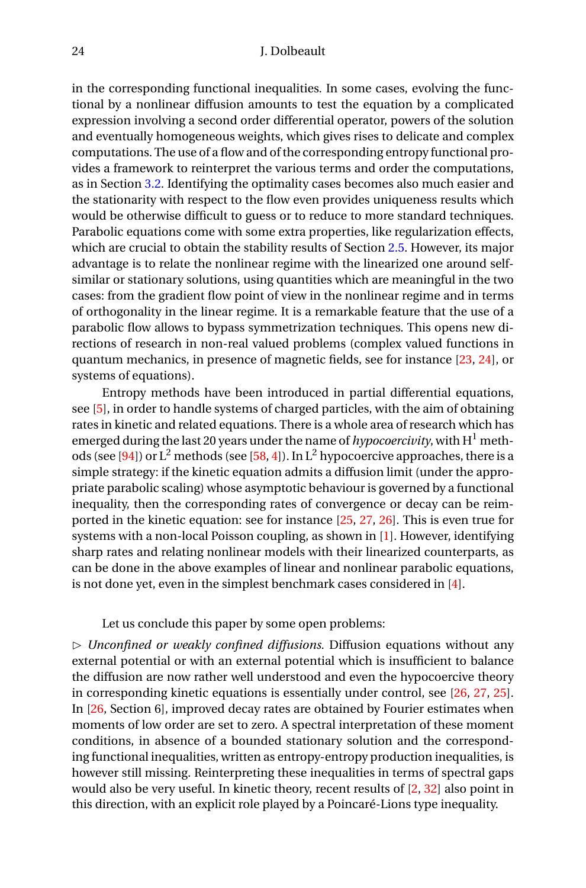in the corresponding functional inequalities. In some cases, evolving the functional by a nonlinear diffusion amounts to test the equation by a complicated expression involving a second order differential operator, powers of the solution and eventually homogeneous weights, which gives rises to delicate and complex computations. The use of a flow and of the corresponding entropy functional provides a framework to reinterpret the various terms and order the computations, as in Section [3.2.](#page-20-3) Identifying the optimality cases becomes also much easier and the stationarity with respect to the flow even provides uniqueness results which would be otherwise difficult to guess or to reduce to more standard techniques. Parabolic equations come with some extra properties, like regularization effects, which are crucial to obtain the stability results of Section [2.5.](#page-18-3) However, its major advantage is to relate the nonlinear regime with the linearized one around selfsimilar or stationary solutions, using quantities which are meaningful in the two cases: from the gradient flow point of view in the nonlinear regime and in terms of orthogonality in the linear regime. It is a remarkable feature that the use of a parabolic flow allows to bypass symmetrization techniques. This opens new directions of research in non-real valued problems (complex valued functions in quantum mechanics, in presence of magnetic fields, see for instance [\[23,](#page-27-13) [24\]](#page-27-14), or systems of equations).

Entropy methods have been introduced in partial differential equations, see [\[5\]](#page-26-13), in order to handle systems of charged particles, with the aim of obtaining rates in kinetic and related equations. There is a whole area of research which has emerged during the last 20 years under the name of *hypocoercivity*, with  $H^1$  meth-ods (see [\[94\]](#page-30-19)) or  $L^2$  methods (see [\[58,](#page-29-19) [4\]](#page-26-14)). In  $L^2$  hypocoercive approaches, there is a simple strategy: if the kinetic equation admits a diffusion limit (under the appropriate parabolic scaling) whose asymptotic behaviour is governed by a functional inequality, then the corresponding rates of convergence or decay can be reimported in the kinetic equation: see for instance [\[25,](#page-27-15) [27,](#page-27-16) [26\]](#page-27-17). This is even true for systems with a non-local Poisson coupling, as shown in [\[1\]](#page-26-15). However, identifying sharp rates and relating nonlinear models with their linearized counterparts, as can be done in the above examples of linear and nonlinear parabolic equations, is not done yet, even in the simplest benchmark cases considered in [\[4\]](#page-26-14).

#### Let us conclude this paper by some open problems:

 $\triangleright$  *Unconfined or weakly confined diffusions.* Diffusion equations without any external potential or with an external potential which is insufficient to balance the diffusion are now rather well understood and even the hypocoercive theory in corresponding kinetic equations is essentially under control, see [\[26,](#page-27-17) [27,](#page-27-16) [25\]](#page-27-15). In [\[26,](#page-27-17) Section 6], improved decay rates are obtained by Fourier estimates when moments of low order are set to zero. A spectral interpretation of these moment conditions, in absence of a bounded stationary solution and the corresponding functional inequalities, written as entropy-entropy production inequalities, is however still missing. Reinterpreting these inequalities in terms of spectral gaps would also be very useful. In kinetic theory, recent results of [\[2,](#page-26-16) [32\]](#page-27-18) also point in this direction, with an explicit role played by a Poincaré-Lions type inequality.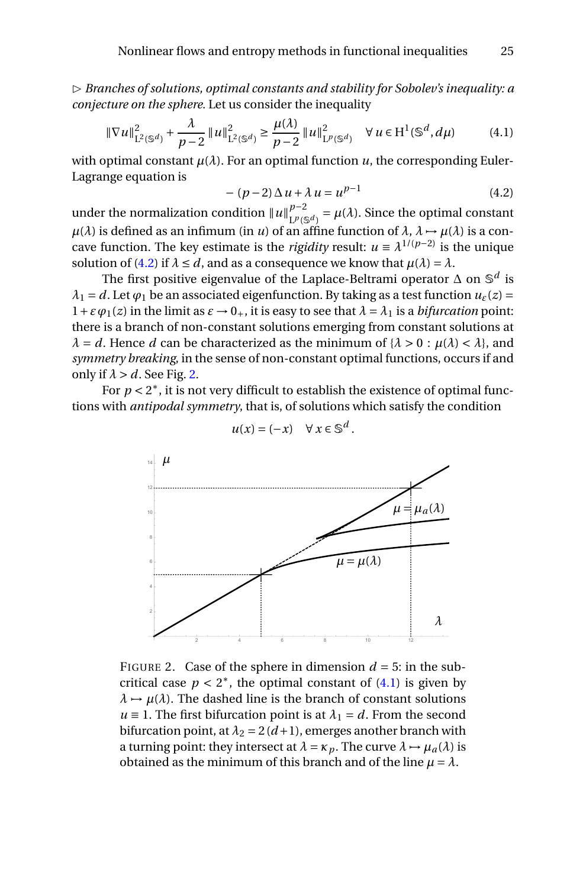$\triangleright$  *Branches of solutions, optimal constants and stability for Sobolev's inequality: a conjecture on the sphere.* Let us consider the inequality

<span id="page-24-2"></span>
$$
\|\nabla u\|_{\mathcal{L}^{2}(\mathbb{S}^{d})}^{2} + \frac{\lambda}{p-2} \|u\|_{\mathcal{L}^{2}(\mathbb{S}^{d})}^{2} \ge \frac{\mu(\lambda)}{p-2} \|u\|_{\mathcal{L}^{p}(\mathbb{S}^{d})}^{2} \quad \forall u \in H^{1}(\mathbb{S}^{d}, d\mu)
$$
(4.1)

with optimal constant  $\mu(\lambda)$ . For an optimal function  $\mu$ , the corresponding Euler-Lagrange equation is

<span id="page-24-0"></span>
$$
-(p-2)\Delta u + \lambda u = u^{p-1}
$$
 (4.2)

under the normalization condition  $\|u\|_{L^{p(\mathcal{E})}}^{p-2}$  $L^{p-2}_{L^p(\mathbb{S}^d)} = \mu(\lambda)$ . Since the optimal constant  $\mu(\lambda)$  is defined as an infimum (in *u*) of an affine function of  $\lambda$ ,  $\lambda \rightarrow \mu(\lambda)$  is a concave function. The key estimate is the *rigidity* result:  $u \equiv \lambda^{1/(p-2)}$  is the unique solution of [\(4.2\)](#page-24-0) if  $\lambda \le d$ , and as a consequence we know that  $\mu(\lambda) = \lambda$ .

The first positive eigenvalue of the Laplace-Beltrami operator ∆ on S *d* is  $\lambda_1 = d$ . Let  $\varphi_1$  be an associated eigenfunction. By taking as a test function  $u_\varepsilon(z) =$  $1+\varepsilon\varphi_1(z)$  in the limit as  $\varepsilon \to 0_+$ , it is easy to see that  $\lambda = \lambda_1$  is a *bifurcation* point: there is a branch of non-constant solutions emerging from constant solutions at  $\lambda = d$ . Hence *d* can be characterized as the minimum of  $\{\lambda > 0 : \mu(\lambda) < \lambda\}$ , and *symmetry breaking*, in the sense of non-constant optimal functions, occurs if and only if  $\lambda > d$ . See Fig. [2.](#page-24-1)

For  $p < 2^*$ , it is not very difficult to establish the existence of optimal functions with *antipodal symmetry*, that is, of solutions which satisfy the condition



$$
u(x) = (-x) \quad \forall \ x \in \mathbb{S}^d.
$$

<span id="page-24-1"></span>FIGURE 2. Case of the sphere in dimension  $d = 5$ : in the subcritical case  $p < 2^*$ , the optimal constant of  $(4.1)$  is given by  $\lambda \mapsto \mu(\lambda)$ . The dashed line is the branch of constant solutions  $u \equiv 1$ . The first bifurcation point is at  $\lambda_1 = d$ . From the second bifurcation point, at  $\lambda_2 = 2(d+1)$ , emerges another branch with a turning point: they intersect at  $\lambda = \kappa_p$ . The curve  $\lambda \mapsto \mu_a(\lambda)$  is obtained as the minimum of this branch and of the line  $\mu = \lambda$ .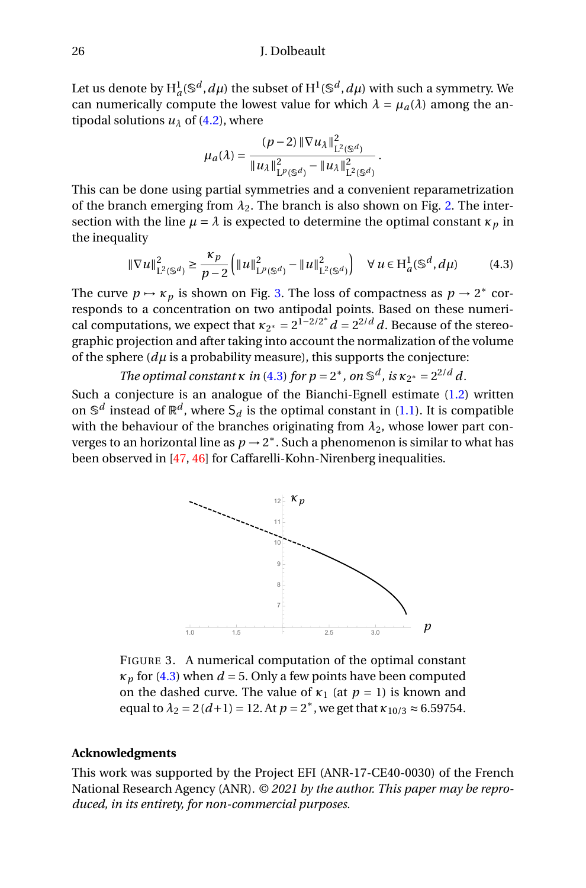Let us denote by  $H^1_a(\mathbb{S}^d, d\mu)$  the subset of  $H^1(\mathbb{S}^d, d\mu)$  with such a symmetry. We can numerically compute the lowest value for which  $\lambda = \mu_a(\lambda)$  among the antipodal solutions  $u_{\lambda}$  of [\(4.2\)](#page-24-0), where

$$
\mu_a(\lambda) = \frac{(p-2) \|\nabla u_{\lambda}\|_{\mathcal{L}^2(\mathbb{S}^d)}^2}{\|u_{\lambda}\|_{\mathcal{L}^p(\mathbb{S}^d)}^2 - \|u_{\lambda}\|_{\mathcal{L}^2(\mathbb{S}^d)}^2}.
$$

This can be done using partial symmetries and a convenient reparametrization of the branch emerging from  $\lambda_2$ . The branch is also shown on Fig. [2.](#page-24-1) The intersection with the line  $\mu = \lambda$  is expected to determine the optimal constant  $\kappa_p$  in the inequality

<span id="page-25-1"></span>
$$
\|\nabla u\|_{\mathcal{L}^2(\mathbb{S}^d)}^2 \ge \frac{\kappa_p}{p-2} \left( \|u\|_{\mathcal{L}^p(\mathbb{S}^d)}^2 - \|u\|_{\mathcal{L}^2(\mathbb{S}^d)}^2 \right) \quad \forall \, u \in \mathcal{H}_a^1(\mathbb{S}^d, d\mu) \tag{4.3}
$$

The curve  $p \mapsto \kappa_p$  is shown on Fig. [3.](#page-25-0) The loss of compactness as  $p \to 2^*$  corresponds to a concentration on two antipodal points. Based on these numerical computations, we expect that  $\kappa_{2^*} = 2^{1-2/2^*} d = 2^{2/d} d$ . Because of the stereographic projection and after taking into account the normalization of the volume of the sphere  $(d\mu)$  is a probability measure), this supports the conjecture:

*The optimal constant*  $\kappa$  *in* [\(4.3\)](#page-25-1) *for*  $p = 2^*$ *, on*  $\mathbb{S}^d$ *, is*  $\kappa_{2^*} = 2^{2/d} d$ *.* 

Such a conjecture is an analogue of the Bianchi-Egnell estimate  $(1.2)$  written on  $\mathbb{S}^d$  instead of  $\mathbb{R}^d$ , where  $\mathsf{S}_d$  is the optimal constant in [\(1.1\)](#page-1-0). It is compatible with the behaviour of the branches originating from  $\lambda_2$ , whose lower part converges to an horizontal line as  $p\to 2^*$  . Such a phenomenon is similar to what has been observed in [\[47,](#page-28-16) [46\]](#page-28-17) for Caffarelli-Kohn-Nirenberg inequalities.



<span id="page-25-0"></span>FIGURE 3. A numerical computation of the optimal constant  $\kappa_p$  for [\(4.3\)](#page-25-1) when  $d = 5$ . Only a few points have been computed on the dashed curve. The value of  $\kappa_1$  (at  $p = 1$ ) is known and equal to  $\lambda_2 = 2(d+1) = 12$ . At  $p = 2^*$ , we get that  $\kappa_{10/3} \approx 6.59754$ .

## **Acknowledgments**

This work was supported by the Project EFI (ANR-17-CE40-0030) of the French National Research Agency (ANR). *© 2021 by the author. This paper may be reproduced, in its entirety, for non-commercial purposes.*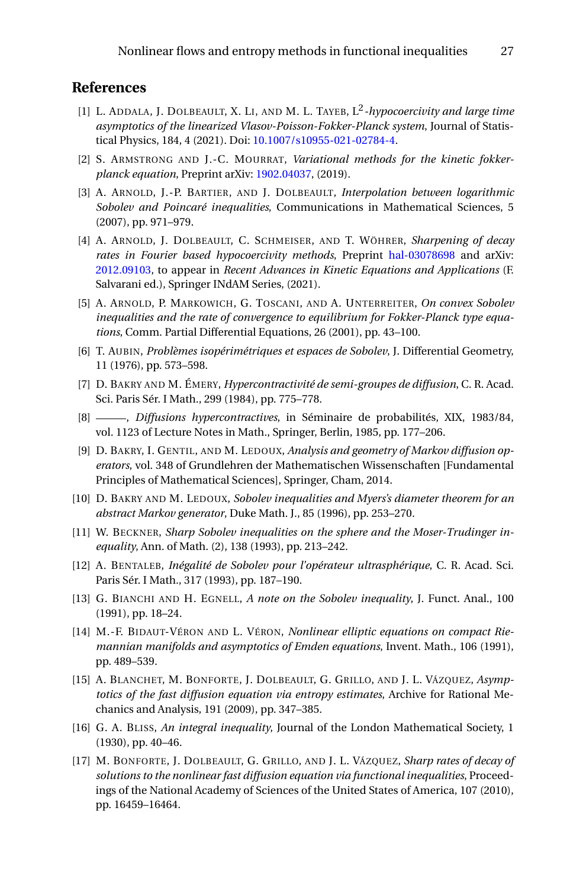## **References**

- <span id="page-26-15"></span>[1] L. ADDALA, J. DOLBEAULT, X. LI, AND M. L. TAYEB, L<sup>2</sup>-hypocoercivity and large time *asymptotics of the linearized Vlasov-Poisson-Fokker-Planck system*, Journal of Statistical Physics, 184, 4 (2021). Doi: [10.1007/s10955-021-02784-4.](https://doi.org/10.1007%2Fs10955-021-02784-4)
- <span id="page-26-16"></span>[2] S. ARMSTRONG AND J.-C. MOURRAT, *Variational methods for the kinetic fokkerplanck equation*, Preprint arXiv: [1902.04037,](https://arxiv.org/abs/1902.04037) (2019).
- <span id="page-26-10"></span>[3] A. ARNOLD, J.-P. BARTIER, AND J. DOLBEAULT, *Interpolation between logarithmic Sobolev and Poincaré inequalities*, Communications in Mathematical Sciences, 5 (2007), pp. 971–979.
- <span id="page-26-14"></span>[4] A. ARNOLD, J. DOLBEAULT, C. SCHMEISER, AND T. WÖHRER, *Sharpening of decay rates in Fourier based hypocoercivity methods*, Preprint [hal-03078698](https://hal.archives-ouvertes.fr/hal-03078698) and arXiv: [2012.09103,](https://arxiv.org/abs/2012.09103) to appear in *Recent Advances in Kinetic Equations and Applications* (F. Salvarani ed.), Springer INdAM Series, (2021).
- <span id="page-26-13"></span>[5] A. ARNOLD, P. MARKOWICH, G. TOSCANI, AND A. UNTERREITER, *On convex Sobolev inequalities and the rate of convergence to equilibrium for Fokker-Planck type equations*, Comm. Partial Differential Equations, 26 (2001), pp. 43–100.
- <span id="page-26-0"></span>[6] T. AUBIN, *Problèmes isopérimétriques et espaces de Sobolev*, J. Differential Geometry, 11 (1976), pp. 573–598.
- <span id="page-26-8"></span>[7] D. BAKRY AND M. ÉMERY, *Hypercontractivité de semi-groupes de diffusion*, C. R. Acad. Sci. Paris Sér. I Math., 299 (1984), pp. 775–778.
- <span id="page-26-9"></span>[8] , *Diffusions hypercontractives*, in Séminaire de probabilités, XIX, 1983/84, vol. 1123 of Lecture Notes in Math., Springer, Berlin, 1985, pp. 177–206.
- <span id="page-26-3"></span>[9] D. BAKRY, I. GENTIL, AND M. LEDOUX, *Analysis and geometry of Markov diffusion operators*, vol. 348 of Grundlehren der Mathematischen Wissenschaften [Fundamental Principles of Mathematical Sciences], Springer, Cham, 2014.
- <span id="page-26-7"></span>[10] D. BAKRY AND M. LEDOUX, *Sobolev inequalities and Myers's diameter theorem for an abstract Markov generator*, Duke Math. J., 85 (1996), pp. 253–270.
- <span id="page-26-5"></span>[11] W. BECKNER, *Sharp Sobolev inequalities on the sphere and the Moser-Trudinger inequality*, Ann. of Math. (2), 138 (1993), pp. 213–242.
- <span id="page-26-6"></span>[12] A. BENTALEB, *Inégalité de Sobolev pour l'opérateur ultrasphérique*, C. R. Acad. Sci. Paris Sér. I Math., 317 (1993), pp. 187–190.
- <span id="page-26-2"></span>[13] G. BIANCHI AND H. EGNELL, *A note on the Sobolev inequality*, J. Funct. Anal., 100 (1991), pp. 18–24.
- <span id="page-26-4"></span>[14] M.-F. BIDAUT-VÉRON AND L. VÉRON, *Nonlinear elliptic equations on compact Riemannian manifolds and asymptotics of Emden equations*, Invent. Math., 106 (1991), pp. 489–539.
- <span id="page-26-11"></span>[15] A. BLANCHET, M. BONFORTE, J. DOLBEAULT, G. GRILLO, AND J. L. VÁZQUEZ, *Asymptotics of the fast diffusion equation via entropy estimates*, Archive for Rational Mechanics and Analysis, 191 (2009), pp. 347–385.
- <span id="page-26-1"></span>[16] G. A. BLISS, *An integral inequality*, Journal of the London Mathematical Society, 1 (1930), pp. 40–46.
- <span id="page-26-12"></span>[17] M. BONFORTE, J. DOLBEAULT, G. GRILLO, AND J. L. VÁZQUEZ, *Sharp rates of decay of solutions to the nonlinear fast diffusion equation via functional inequalities*, Proceedings of the National Academy of Sciences of the United States of America, 107 (2010), pp. 16459–16464.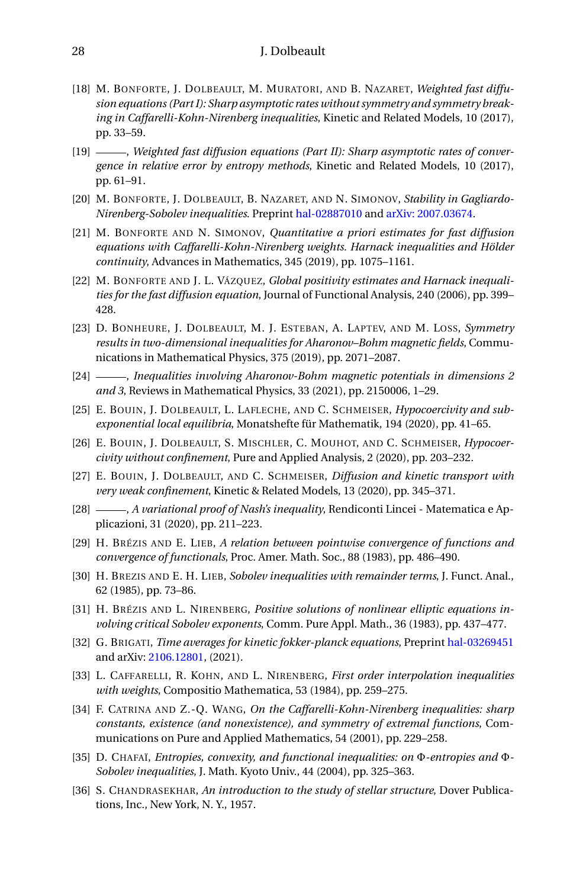- <span id="page-27-1"></span>[18] M. BONFORTE, J. DOLBEAULT, M. MURATORI, AND B. NAZARET, *Weighted fast diffusion equations (Part I): Sharp asymptotic rates without symmetry and symmetry breaking in Caffarelli-Kohn-Nirenberg inequalities*, Kinetic and Related Models, 10 (2017), pp. 33–59.
- <span id="page-27-7"></span>[19] , *Weighted fast diffusion equations (Part II): Sharp asymptotic rates of convergence in relative error by entropy methods*, Kinetic and Related Models, 10 (2017), pp. 61–91.
- <span id="page-27-0"></span>[20] M. BONFORTE, J. DOLBEAULT, B. NAZARET, AND N. SIMONOV, *Stability in Gagliardo-Nirenberg-Sobolev inequalities*. Preprint [hal-02887010](https://hal.archives-ouvertes.fr/hal-02887010) and [arXiv: 2007.03674.](https://arxiv.org/abs/2007.03674)
- <span id="page-27-12"></span>[21] M. BONFORTE AND N. SIMONOV, *Quantitative a priori estimates for fast diffusion equations with Caffarelli-Kohn-Nirenberg weights. Harnack inequalities and Hölder continuity*, Advances in Mathematics, 345 (2019), pp. 1075–1161.
- <span id="page-27-11"></span>[22] M. BONFORTE AND J. L. VÁZQUEZ, *Global positivity estimates and Harnack inequalities for the fast diffusion equation*, Journal of Functional Analysis, 240 (2006), pp. 399– 428.
- <span id="page-27-13"></span>[23] D. BONHEURE, J. DOLBEAULT, M. J. ESTEBAN, A. LAPTEV, AND M. LOSS, *Symmetry results in two-dimensional inequalities for Aharonov–Bohm magnetic fields*, Communications in Mathematical Physics, 375 (2019), pp. 2071–2087.
- <span id="page-27-14"></span>[24] , *Inequalities involving Aharonov-Bohm magnetic potentials in dimensions 2 and 3*, Reviews in Mathematical Physics, 33 (2021), pp. 2150006, 1–29.
- <span id="page-27-15"></span>[25] E. BOUIN, J. DOLBEAULT, L. LAFLECHE, AND C. SCHMEISER, *Hypocoercivity and subexponential local equilibria*, Monatshefte für Mathematik, 194 (2020), pp. 41–65.
- <span id="page-27-17"></span>[26] E. BOUIN, J. DOLBEAULT, S. MISCHLER, C. MOUHOT, AND C. SCHMEISER, *Hypocoercivity without confinement*, Pure and Applied Analysis, 2 (2020), pp. 203–232.
- <span id="page-27-16"></span>[27] E. BOUIN, J. DOLBEAULT, AND C. SCHMEISER, *Diffusion and kinetic transport with very weak confinement*, Kinetic & Related Models, 13 (2020), pp. 345–371.
- <span id="page-27-9"></span>[28] , *A variational proof of Nash's inequality*, Rendiconti Lincei - Matematica e Applicazioni, 31 (2020), pp. 211–223.
- <span id="page-27-2"></span>[29] H. BRÉZIS AND E. LIEB, *A relation between pointwise convergence of functions and convergence of functionals*, Proc. Amer. Math. Soc., 88 (1983), pp. 486–490.
- <span id="page-27-4"></span>[30] H. BREZIS AND E. H. LIEB, *Sobolev inequalities with remainder terms*, J. Funct. Anal., 62 (1985), pp. 73–86.
- <span id="page-27-8"></span>[31] H. BRÉZIS AND L. NIRENBERG, *Positive solutions of nonlinear elliptic equations involving critical Sobolev exponents*, Comm. Pure Appl. Math., 36 (1983), pp. 437–477.
- <span id="page-27-18"></span>[32] G. BRIGATI, *Time averages for kinetic fokker-planck equations*, Preprint [hal-03269451](https://hal.archives-ouvertes.fr/hal-03269451) and arXiv: [2106.12801,](https://arxiv.org/abs/2106.12801) (2021).
- <span id="page-27-5"></span>[33] L. CAFFARELLI, R. KOHN, AND L. NIRENBERG, *First order interpolation inequalities with weights*, Compositio Mathematica, 53 (1984), pp. 259–275.
- <span id="page-27-6"></span>[34] F. CATRINA AND Z.-Q. WANG, *On the Caffarelli-Kohn-Nirenberg inequalities: sharp constants, existence (and nonexistence), and symmetry of extremal functions*, Communications on Pure and Applied Mathematics, 54 (2001), pp. 229–258.
- <span id="page-27-10"></span>[35] D. CHAFAÏ, *Entropies, convexity, and functional inequalities: on* Φ*-entropies and* Φ*-Sobolev inequalities*, J. Math. Kyoto Univ., 44 (2004), pp. 325–363.
- <span id="page-27-3"></span>[36] S. CHANDRASEKHAR, *An introduction to the study of stellar structure*, Dover Publications, Inc., New York, N. Y., 1957.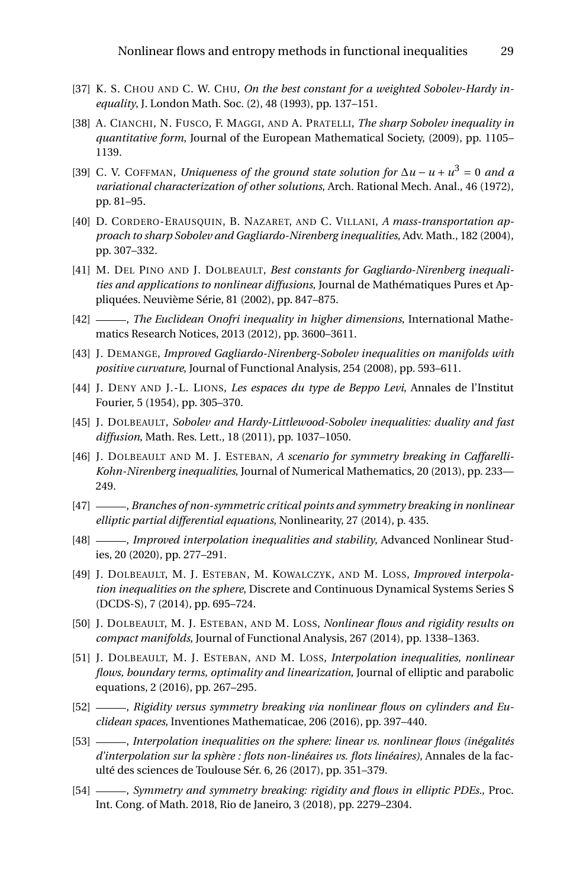- <span id="page-28-7"></span>[37] K. S. CHOU AND C. W. CHU, *On the best constant for a weighted Sobolev-Hardy inequality*, J. London Math. Soc. (2), 48 (1993), pp. 137–151.
- <span id="page-28-3"></span>[38] A. CIANCHI, N. FUSCO, F. MAGGI, AND A. PRATELLI, *The sharp Sobolev inequality in quantitative form*, Journal of the European Mathematical Society, (2009), pp. 1105– 1139.
- <span id="page-28-8"></span>[39] C. V. COFFMAN, *Uniqueness of the ground state solution for* ∆*u* − *u* + *u* <sup>3</sup> = 0 *and a variational characterization of other solutions*, Arch. Rational Mech. Anal., 46 (1972), pp. 81–95.
- <span id="page-28-2"></span>[40] D. CORDERO-ERAUSQUIN, B. NAZARET, AND C. VILLANI, *A mass-transportation approach to sharp Sobolev and Gagliardo-Nirenberg inequalities*, Adv. Math., 182 (2004), pp. 307–332.
- <span id="page-28-5"></span>[41] M. DEL PINO AND J. DOLBEAULT, *Best constants for Gagliardo-Nirenberg inequalities and applications to nonlinear diffusions*, Journal de Mathématiques Pures et Appliquées. Neuvième Série, 81 (2002), pp. 847–875.
- <span id="page-28-6"></span>[42] , *The Euclidean Onofri inequality in higher dimensions*, International Mathematics Research Notices, 2013 (2012), pp. 3600–3611.
- <span id="page-28-9"></span>[43] J. DEMANGE, *Improved Gagliardo-Nirenberg-Sobolev inequalities on manifolds with positive curvature*, Journal of Functional Analysis, 254 (2008), pp. 593–611.
- <span id="page-28-1"></span>[44] J. DENY AND J.-L. LIONS, *Les espaces du type de Beppo Levi*, Annales de l'Institut Fourier, 5 (1954), pp. 305–370.
- <span id="page-28-4"></span>[45] J. DOLBEAULT, *Sobolev and Hardy-Littlewood-Sobolev inequalities: duality and fast diffusion*, Math. Res. Lett., 18 (2011), pp. 1037–1050.
- <span id="page-28-17"></span>[46] J. DOLBEAULT AND M. J. ESTEBAN, A scenario for symmetry breaking in Caffarelli-*Kohn-Nirenberg inequalities*, Journal of Numerical Mathematics, 20 (2013), pp. 233— 249.
- <span id="page-28-16"></span>[47] , *Branches of non-symmetric critical points and symmetry breaking in nonlinear elliptic partial differential equations*, Nonlinearity, 27 (2014), p. 435.
- <span id="page-28-13"></span>[48] , *Improved interpolation inequalities and stability*, Advanced Nonlinear Studies, 20 (2020), pp. 277–291.
- <span id="page-28-10"></span>[49] J. DOLBEAULT, M. J. ESTEBAN, M. KOWALCZYK, AND M. LOSS, *Improved interpolation inequalities on the sphere*, Discrete and Continuous Dynamical Systems Series S (DCDS-S), 7 (2014), pp. 695–724.
- <span id="page-28-14"></span>[50] J. DOLBEAULT, M. J. ESTEBAN, AND M. LOSS, *Nonlinear flows and rigidity results on compact manifolds*, Journal of Functional Analysis, 267 (2014), pp. 1338–1363.
- <span id="page-28-15"></span>[51] J. DOLBEAULT, M. J. ESTEBAN, AND M. LOSS, *Interpolation inequalities, nonlinear flows, boundary terms, optimality and linearization*, Journal of elliptic and parabolic equations, 2 (2016), pp. 267–295.
- <span id="page-28-0"></span>[52] , *Rigidity versus symmetry breaking via nonlinear flows on cylinders and Euclidean spaces*, Inventiones Mathematicae, 206 (2016), pp. 397–440.
- <span id="page-28-11"></span>[53] , *Interpolation inequalities on the sphere: linear vs. nonlinear flows (inégalités d'interpolation sur la sphère : flots non-linéaires vs. flots linéaires)*, Annales de la faculté des sciences de Toulouse Sér. 6, 26 (2017), pp. 351–379.
- <span id="page-28-12"></span>[54] , *Symmetry and symmetry breaking: rigidity and flows in elliptic PDEs.*, Proc. Int. Cong. of Math. 2018, Rio de Janeiro, 3 (2018), pp. 2279–2304.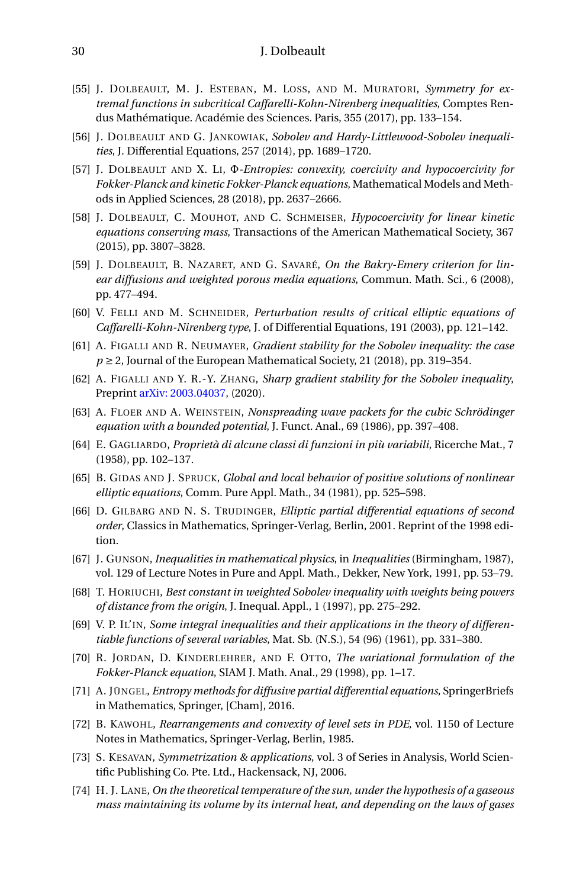- <span id="page-29-0"></span>[55] J. DOLBEAULT, M. J. ESTEBAN, M. LOSS, AND M. MURATORI, *Symmetry for extremal functions in subcritical Caffarelli-Kohn-Nirenberg inequalities*, Comptes Rendus Mathématique. Académie des Sciences. Paris, 355 (2017), pp. 133–154.
- <span id="page-29-7"></span>[56] J. DOLBEAULT AND G. JANKOWIAK, *Sobolev and Hardy-Littlewood-Sobolev inequalities*, J. Differential Equations, 257 (2014), pp. 1689–1720.
- <span id="page-29-17"></span>[57] J. DOLBEAULT AND X. LI, Φ*-Entropies: convexity, coercivity and hypocoercivity for Fokker-Planck and kinetic Fokker-Planck equations*, Mathematical Models and Methods in Applied Sciences, 28 (2018), pp. 2637–2666.
- <span id="page-29-19"></span>[58] J. DOLBEAULT, C. MOUHOT, AND C. SCHMEISER, *Hypocoercivity for linear kinetic equations conserving mass*, Transactions of the American Mathematical Society, 367 (2015), pp. 3807–3828.
- <span id="page-29-16"></span>[59] J. DOLBEAULT, B. NAZARET, AND G. SAVARÉ, *On the Bakry-Emery criterion for linear diffusions and weighted porous media equations*, Commun. Math. Sci., 6 (2008), pp. 477–494.
- <span id="page-29-12"></span>[60] V. FELLI AND M. SCHNEIDER, *Perturbation results of critical elliptic equations of Caffarelli-Kohn-Nirenberg type*, J. of Differential Equations, 191 (2003), pp. 121–142.
- <span id="page-29-5"></span>[61] A. FIGALLI AND R. NEUMAYER, *Gradient stability for the Sobolev inequality: the case*  $p \ge 2$ , Journal of the European Mathematical Society, 21 (2018), pp. 319–354.
- <span id="page-29-6"></span>[62] A. FIGALLI AND Y. R.-Y. ZHANG, *Sharp gradient stability for the Sobolev inequality*, Preprint [arXiv: 2003.04037,](https://arxiv.org/abs/2003.04037) (2020).
- <span id="page-29-13"></span>[63] A. FLOER AND A. WEINSTEIN, *Nonspreading wave packets for the cubic Schrödinger equation with a bounded potential*, J. Funct. Anal., 69 (1986), pp. 397–408.
- <span id="page-29-8"></span>[64] E. GAGLIARDO, *Proprietà di alcune classi di funzioni in più variabili*, Ricerche Mat., 7 (1958), pp. 102–137.
- <span id="page-29-14"></span>[65] B. GIDAS AND J. SPRUCK, *Global and local behavior of positive solutions of nonlinear elliptic equations*, Comm. Pure Appl. Math., 34 (1981), pp. 525–598.
- <span id="page-29-2"></span>[66] D. GILBARG AND N. S. TRUDINGER, *Elliptic partial differential equations of second order*, Classics in Mathematics, Springer-Verlag, Berlin, 2001. Reprint of the 1998 edition.
- <span id="page-29-9"></span>[67] J. GUNSON, *Inequalities in mathematical physics*, in *Inequalities* (Birmingham, 1987), vol. 129 of Lecture Notes in Pure and Appl. Math., Dekker, New York, 1991, pp. 53–79.
- <span id="page-29-11"></span>[68] T. HORIUCHI, *Best constant in weighted Sobolev inequality with weights being powers of distance from the origin*, J. Inequal. Appl., 1 (1997), pp. 275–292.
- <span id="page-29-10"></span>[69] V. P. IL'IN, *Some integral inequalities and their applications in the theory of differentiable functions of several variables*, Mat. Sb. (N.S.), 54 (96) (1961), pp. 331–380.
- <span id="page-29-15"></span>[70] R. JORDAN, D. KINDERLEHRER, AND F. OTTO, *The variational formulation of the Fokker-Planck equation*, SIAM J. Math. Anal., 29 (1998), pp. 1–17.
- <span id="page-29-18"></span>[71] A. JÜNGEL, *Entropy methods for diffusive partial differential equations*, SpringerBriefs in Mathematics, Springer, [Cham], 2016.
- <span id="page-29-3"></span>[72] B. KAWOHL, *Rearrangements and convexity of level sets in PDE*, vol. 1150 of Lecture Notes in Mathematics, Springer-Verlag, Berlin, 1985.
- <span id="page-29-4"></span>[73] S. KESAVAN, *Symmetrization & applications*, vol. 3 of Series in Analysis, World Scientific Publishing Co. Pte. Ltd., Hackensack, NJ, 2006.
- <span id="page-29-1"></span>[74] H. J. LANE, *On the theoretical temperature of the sun, under the hypothesis of a gaseous mass maintaining its volume by its internal heat, and depending on the laws of gases*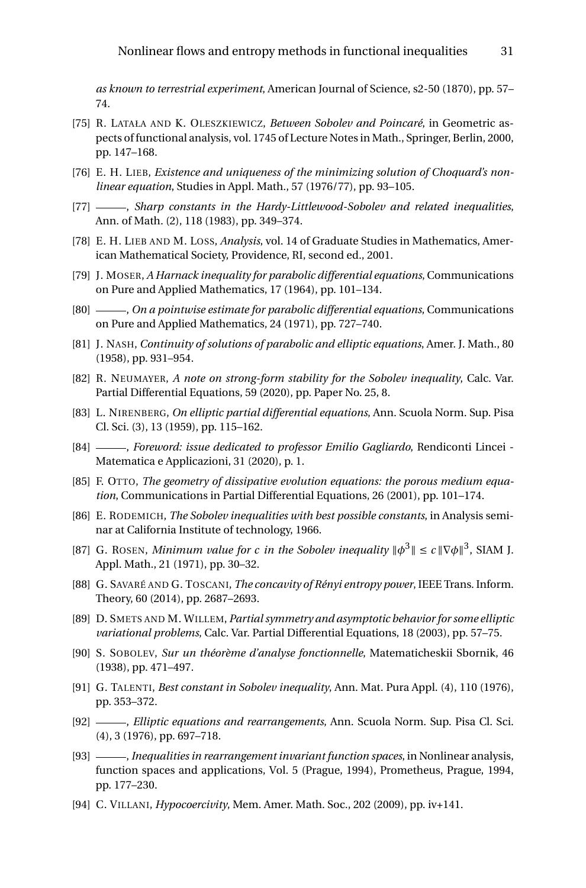*as known to terrestrial experiment*, American Journal of Science, s2-50 (1870), pp. 57– 74.

- <span id="page-30-14"></span>[75] R. LATAŁA AND K. OLESZKIEWICZ, *Between Sobolev and Poincaré*, in Geometric aspects of functional analysis, vol. 1745 of Lecture Notes in Math., Springer, Berlin, 2000, pp. 147–168.
- <span id="page-30-6"></span>[76] E. H. LIEB, *Existence and uniqueness of the minimizing solution of Choquard's nonlinear equation*, Studies in Appl. Math., 57 (1976/77), pp. 93–105.
- <span id="page-30-9"></span>[77] , *Sharp constants in the Hardy-Littlewood-Sobolev and related inequalities*, Ann. of Math. (2), 118 (1983), pp. 349–374.
- <span id="page-30-7"></span>[78] E. H. LIEB AND M. LOSS, *Analysis*, vol. 14 of Graduate Studies in Mathematics, American Mathematical Society, Providence, RI, second ed., 2001.
- <span id="page-30-17"></span>[79] J. MOSER, *A Harnack inequality for parabolic differential equations*, Communications on Pure and Applied Mathematics, 17 (1964), pp. 101–134.
- <span id="page-30-18"></span>[80] , *On a pointwise estimate for parabolic differential equations*, Communications on Pure and Applied Mathematics, 24 (1971), pp. 727–740.
- <span id="page-30-13"></span>[81] J. NASH, *Continuity of solutions of parabolic and elliptic equations*, Amer. J. Math., 80 (1958), pp. 931–954.
- <span id="page-30-8"></span>[82] R. NEUMAYER, *A note on strong-form stability for the Sobolev inequality*, Calc. Var. Partial Differential Equations, 59 (2020), pp. Paper No. 25, 8.
- <span id="page-30-10"></span>[83] L. NIRENBERG, *On elliptic partial differential equations*, Ann. Scuola Norm. Sup. Pisa Cl. Sci. (3), 13 (1959), pp. 115–162.
- <span id="page-30-11"></span>[84] , *Foreword: issue dedicated to professor Emilio Gagliardo*, Rendiconti Lincei - Matematica e Applicazioni, 31 (2020), p. 1.
- <span id="page-30-15"></span>[85] F. OTTO, *The geometry of dissipative evolution equations: the porous medium equation*, Communications in Partial Differential Equations, 26 (2001), pp. 101–174.
- <span id="page-30-4"></span>[86] E. RODEMICH, *The Sobolev inequalities with best possible constants*, in Analysis seminar at California Institute of technology, 1966.
- <span id="page-30-2"></span>[87] G. ROSEN, *Minimum value for c in the Sobolev inequality*  $\|\phi^3\| \le c \|\nabla \phi\|^3$ , SIAM J. Appl. Math., 21 (1971), pp. 30–32.
- <span id="page-30-16"></span>[88] G. SAVARÉ AND G. TOSCANI, *The concavity of Rényi entropy power*, IEEE Trans. Inform. Theory, 60 (2014), pp. 2687–2693.
- <span id="page-30-12"></span>[89] D. SMETS AND M. WILLEM, *Partial symmetry and asymptotic behavior for some elliptic variational problems*, Calc. Var. Partial Differential Equations, 18 (2003), pp. 57–75.
- <span id="page-30-0"></span>[90] S. SOBOLEV, *Sur un théorème d'analyse fonctionnelle*, Matematicheskii Sbornik, 46 (1938), pp. 471–497.
- <span id="page-30-3"></span>[91] G. TALENTI, *Best constant in Sobolev inequality*, Ann. Mat. Pura Appl. (4), 110 (1976), pp. 353–372.
- <span id="page-30-1"></span>[92] , *Elliptic equations and rearrangements*, Ann. Scuola Norm. Sup. Pisa Cl. Sci. (4), 3 (1976), pp. 697–718.
- <span id="page-30-5"></span>[93] , *Inequalities in rearrangement invariant function spaces*, in Nonlinear analysis, function spaces and applications, Vol. 5 (Prague, 1994), Prometheus, Prague, 1994, pp. 177–230.
- <span id="page-30-19"></span>[94] C. VILLANI, *Hypocoercivity*, Mem. Amer. Math. Soc., 202 (2009), pp. iv+141.